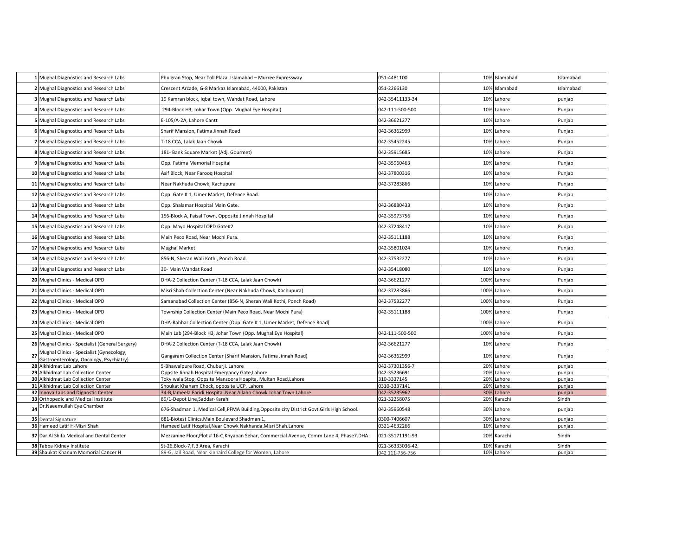|    | Mughal Diagnostics and Research Labs                                                | Phulgran Stop, Near Toll Plaza. Islamabad - Murree Expressway                               | 051-4481100     | 10% Islamabad | Islamabad |
|----|-------------------------------------------------------------------------------------|---------------------------------------------------------------------------------------------|-----------------|---------------|-----------|
|    | Mughal Diagnostics and Research Labs                                                | Crescent Arcade, G-8 Markaz Islamabad, 44000, Pakistan                                      | 051-2266130     | 10% Islamabad | Islamabad |
|    | Mughal Diagnostics and Research Labs                                                | 19 Kamran block, Igbal town, Wahdat Road, Lahore                                            | 042-35411133-34 | 10% Lahore    | punjab    |
|    | Mughal Diagnostics and Research Labs                                                | 294-Block H3, Johar Town (Opp. Mughal Eye Hospital)                                         | 042-111-500-500 | 10% Lahore    | Punjab    |
|    | Mughal Diagnostics and Research Labs                                                | E-105/A-2A, Lahore Cantt                                                                    | 042-36621277    | 10% Lahore    | Punjab    |
|    | Mughal Diagnostics and Research Labs                                                | Sharif Mansion, Fatima Jinnah Road                                                          | 042-36362999    | 10% Lahore    | Punjab    |
|    | Mughal Diagnostics and Research Labs                                                | T-18 CCA. Lalak Jaan Chowk                                                                  | 042-35452245    | 10% Lahore    | Punjab    |
|    | 8 Mughal Diagnostics and Research Labs                                              | 181- Bank Square Market (Adj. Gourmet)                                                      | 042-35915685    | 10% Lahore    | Punjab    |
|    | 9 Mughal Diagnostics and Research Labs                                              | Opp. Fatima Memorial Hospital                                                               | 042-35960463    | 10% Lahore    | Punjab    |
| 10 | Mughal Diagnostics and Research Labs                                                | Asif Block, Near Farooq Hospital                                                            | 042-37800316    | 10% Lahore    | Punjab    |
|    | 11 Mughal Diagnostics and Research Labs                                             | Near Nakhuda Chowk, Kachupura                                                               | 042-37283866    | 10% Lahore    | Punjab    |
|    | 12 Mughal Diagnostics and Research Labs                                             | Opp. Gate # 1, Umer Market, Defence Road.                                                   |                 | 10% Lahore    | Punjab    |
| 13 | Mughal Diagnostics and Research Labs                                                | Opp. Shalamar Hospital Main Gate.                                                           | 042-36880433    | 10% Lahore    | Punjab    |
|    | 14 Mughal Diagnostics and Research Labs                                             | 156-Block A, Faisal Town, Opposite Jinnah Hospital                                          | 042-35973756    | 10% Lahore    | Punjab    |
| 15 | Mughal Diagnostics and Research Labs                                                | Opp. Mayo Hospital OPD Gate#2                                                               | 042-37248417    | 10% Lahore    | Punjab    |
| 16 | Mughal Diagnostics and Research Labs                                                | Main Peco Road, Near Mochi Pura.                                                            | 042-35111188    | 10% Lahore    | Punjab    |
|    | 17 Mughal Diagnostics and Research Labs                                             | <b>Mughal Market</b>                                                                        | 042-35801024    | 10% Lahore    | Punjab    |
|    | 18 Mughal Diagnostics and Research Labs                                             | 856-N, Sheran Wali Kothi, Ponch Road.                                                       | 042-37532277    | 10% Lahore    | Punjab    |
|    | 19 Mughal Diagnostics and Research Labs                                             | 30- Main Wahdat Road                                                                        | 042-35418080    | 10% Lahore    | Punjab    |
|    | 20 Mughal Clinics - Medical OPD                                                     | DHA-2 Collection Center (T-18 CCA, Lalak Jaan Chowk)                                        | 042-36621277    | 100% Lahore   | Punjab    |
|    | 21 Mughal Clinics - Medical OPD                                                     | Misri Shah Collection Center (Near Nakhuda Chowk, Kachupura)                                | 042-37283866    | 100% Lahore   | Punjab    |
|    | 22 Mughal Clinics - Medical OPD                                                     | Samanabad Collection Center (856-N, Sheran Wali Kothi, Ponch Road)                          | 042-37532277    | 100% Lahore   | Punjab    |
|    | 23 Mughal Clinics - Medical OPD                                                     | Township Collection Center (Main Peco Road, Near Mochi Pura)                                | 042-35111188    | 100% Lahore   | Punjab    |
|    | 24 Mughal Clinics - Medical OPD                                                     | DHA-Rahbar Collection Center (Opp. Gate #1, Umer Market, Defence Road)                      |                 | 100% Lahore   | Punjab    |
|    | 25 Mughal Clinics - Medical OPD                                                     | Main Lab (294-Block H3, Johar Town (Opp. Mughal Eye Hospital)                               | 042-111-500-500 | 100% Lahore   | Punjab    |
|    | 26 Mughal Clinics - Specialist (General Surgery)                                    | DHA-2 Collection Center (T-18 CCA, Lalak Jaan Chowk)                                        | 042-36621277    | 10% Lahore    | Punjab    |
| 27 | Mughal Clinics - Specialist (Gynecology,<br>Gastroenterology, Oncology, Psychiatry) | Gangaram Collection Center (Sharif Mansion, Fatima Jinnah Road)                             | 042-36362999    | 10% Lahore    | Punjab    |
|    | 28 Alkhidmat Lab Lahore                                                             | 5-Bhawalpure Road, Chuburji. Lahore                                                         | 042-37301356-7  | 20% Lahore    | punjab    |
|    | 29 Alkhidmat Lab Collection Center                                                  | Oppsite Jinnah Hospital Emergancy Gate, Lahore                                              | 042-35236691    | 20% Lahore    | punjab    |
|    | 30 Alkhidmat Lab Collection Center                                                  | Toky wala Stop, Oppsite Mansoora Hoapita, Multan Road,Lahore                                | 310-3337145     | 20% Lahore    | punjab    |
|    | 31 Alkhidmat Lab Collection Center                                                  | Shoukat Khanam Chock, opposite UCP, Lahore                                                  | 0310-3337141    | 20% Lahore    | punjab    |
|    | 32 Innova Labs and Dignostic Center                                                 | 34-B, Jameela Faridi Hospital. Near Allaho Chowk. Johar Town. Lahore                        | 042-35235962    | 30% Lahore    | punjab    |
| 33 | Orthopedic and Medical Institute                                                    | 89/1-Depot Line,Saddar-Karahi                                                               | 021-32258075    | 20% Karachi   | Sindh     |
| 34 | Dr.Naeemullah Eye Chamber                                                           | 676-Shadman 1, Medical Cell, PFMA Building, Opposite city District Govt. Girls High School. | 042-35960548    | 30% Lahore    | punjab    |
|    |                                                                                     |                                                                                             |                 |               |           |
|    | 35 Dental Signature                                                                 | 681-Biotest Clinics, Main Boulevard Shadman 1,                                              | 0300-7406607    | 30% Lahore    | punjab    |
|    | 36 Hameed Latif H-Misri Shah                                                        | Hameed Latif Hospital, Near Chowk Nakhanda, Misri Shah. Lahore                              | 0321-4632266    | 10% Lahore    | punjab    |
|    | 37 Dar Al Shifa Medical and Dental Center                                           | Mezzanine Floor,Plot # 16-C,Khyaban Sehar, Commercial Avenue, Comm.Lane 4, Phase7.DHA       | 021-35171191-93 | 20% Karachi   | Sindh     |
|    | 38 Tabba Kidney Institute                                                           | St-26, Block-7, F.B Area, Karachi                                                           | 021-36333036-42 | 10% Karachi   | Sindh     |
|    | 39 Shaukat Khanum Momorial Cancer H                                                 | 89-G, Jail Road, Near Kinnaird College for Women, Lahore                                    | 042 111-756-756 | 10% Lahore    | punjab    |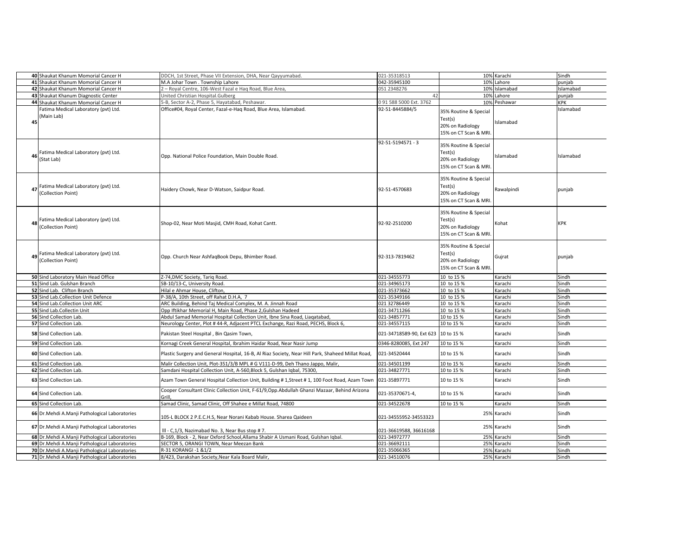| 40 Shaukat Khanum Momorial Cancer H                              | DDCH, 1st Street, Phase VII Extension, DHA, Near Qayyumabad.                                                                                                              | 021-35318513             |                                                                               | 10% Karachi  | Sindh      |
|------------------------------------------------------------------|---------------------------------------------------------------------------------------------------------------------------------------------------------------------------|--------------------------|-------------------------------------------------------------------------------|--------------|------------|
| 41 Shaukat Khanum Momorial Cancer H                              | M.A Johar Town . Township Lahore                                                                                                                                          | 042-35945100             |                                                                               | 10% Lahore   | punjab     |
| 42 Shaukat Khanum Momorial Cancer H                              | 2 - Royal Centre, 106-West Fazal e Haq Road, Blue Area,                                                                                                                   | 051 2348276              | 10%                                                                           | Islamabad    | Islamabad  |
| 43 Shaukat Khanum Diagnostic Center                              | United Christian Hospital.Gulberg                                                                                                                                         | 42                       | 10%                                                                           | Lahore       | punjab     |
| 44 Shaukat Khanum Momorial Cancer H                              | 5-B, Sector A-2, Phase 5, Hayatabad, Peshawar.                                                                                                                            | 091 588 5000 Ext. 3762   |                                                                               | 10% Peshawar | KPK        |
| Fatima Medical Laboratory (pvt) Ltd.<br>(Main Lab)<br>45         | Office#04, Royal Center, Fazal-e-Haq Road, Blue Area, Islamabad.                                                                                                          | 92-51-8445884/5          | 35% Routine & Special<br>Test(s)<br>20% on Radiology<br>15% on CT Scan & MRI. | Islamabad    | Islamabad  |
| Fatima Medical Laboratory (pvt) Ltd.<br>46<br>(Stat Lab)         | Opp. National Police Foundation, Main Double Road.                                                                                                                        | 92-51-5194571 - 3        | 35% Routine & Special<br>Test(s)<br>20% on Radiology<br>15% on CT Scan & MRI. | Islamabad    | Islamabad  |
| Fatima Medical Laboratory (pvt) Ltd.<br>(Collection Point)       | Haidery Chowk, Near D-Watson, Saidpur Road.                                                                                                                               | 92-51-4570683            | 35% Routine & Special<br>Test(s)<br>20% on Radiology<br>15% on CT Scan & MRI. | Rawalpindi   | punjab     |
| Fatima Medical Laboratory (pvt) Ltd.<br>48<br>(Collection Point) | Shop-02, Near Moti Masjid, CMH Road, Kohat Cantt.                                                                                                                         | 92-92-2510200            | 35% Routine & Special<br>Test(s)<br>20% on Radiology<br>15% on CT Scan & MRI. | Kohat        | <b>KPK</b> |
| 49 Fatima Medical Laboratory (pvt) Ltd.<br>(Collection Point)    | Opp. Church Near AshfaqBook Depu, Bhimber Road.                                                                                                                           | 92-313-7819462           | 35% Routine & Special<br>Test(s)<br>20% on Radiology<br>15% on CT Scan & MRI. | Gujrat       | punjab     |
| 50 Sind Laboratory Main Head Office                              | Z-74, DMC Society, Tariq Road.                                                                                                                                            | 021-34555773             | 10 to 15 %                                                                    | Karachi      | Sindh      |
| 51 Sind Lab. Gulshan Branch                                      | SB-10/13-C, University Road.                                                                                                                                              | 021-34965173             | 10 to 15 %                                                                    | Karachi      | Sindh      |
| 52 Sind Lab. Clifton Branch                                      | Hilal e Ahmar House, Clifton,                                                                                                                                             | 021-35373662             | 10 to 15 %                                                                    | Karachi      | Sindh      |
| 53 Sind Lab.Collection Unit Defence                              | P-38/A, 10th Street, off Rahat D.H.A, 7                                                                                                                                   | 021-35349166             | 10 to 15 %                                                                    | Karachi      | Sindh      |
| 54 Sind Lab.Collection Unit ARC                                  | ARC Building, Behind Taj Medical Complex, M. A. Jinnah Road                                                                                                               | 021 32786449             | 10 to 15 %                                                                    | Karachi      | Sindh      |
| 55 Sind Lab.Collectin Unit                                       | Opp Iftikhar Memorial H, Main Road, Phase 2, Gulshan Hadeed                                                                                                               | 021-34711266             | 10 to 15 %                                                                    | Karachi      | Sindh      |
| 56 Sind Collection Lab.                                          | Abdul Samad Memorial Hospital Collection Unit, Ibne Sina Road, Liagatabad,                                                                                                | 021-34857771             | 10 to 15 %                                                                    | Karachi      | Sindh      |
| 57 Sind Collection Lab.                                          | Neurology Center, Plot #44-R, Adjacent PTCL Exchange, Razi Road, PECHS, Block 6,                                                                                          | 021-34557115             | 10 to 15 %                                                                    | Karachi      | Sindh      |
| 58 Sind Collection Lab.                                          | Pakistan Steel Hospital, Bin Qasim Town,                                                                                                                                  | 021-34718589-90, Ext 623 | 10 to 15 %                                                                    | Karachi      | Sindh      |
| 59 Sind Collection Lab.                                          | Kornagi Creek General Hospital, Ibrahim Haidar Road, Near Nasir Jump                                                                                                      | 0346-8280085, Ext 247    | 10 to 15 %                                                                    | Karachi      | Sindh      |
| 60 Sind Collection Lab.                                          | Plastic Surgery and General Hospital, 16-B, Al Riaz Society, Near Hill Park, Shaheed Millat Road,                                                                         | 021-34520444             | 10 to 15 %                                                                    | Karachi      | Sindh      |
| 61 Sind Collection Lab.                                          | Malir Collection Unit, Plot-351/3/B MPL # G V111-D-99, Deh Thano Jappo, Malir,                                                                                            | 021-34501199             | 10 to 15 %                                                                    | Karachi      | Sindh      |
|                                                                  |                                                                                                                                                                           | 021-34827771             | 10 to 15 %                                                                    | Karachi      | Sindh      |
| 62 Sind Collection Lab.<br>63 Sind Collection Lab.               | Samdani Hospital Collection Unit, A-560, Block 5, Gulshan Iqbal, 75300,<br>Azam Town General Hospital Collection Unit, Building # 1, Street # 1, 100 Foot Road, Azam Town | 021-35897771             | 10 to 15 %                                                                    | Karachi      | Sindh      |
| 64 Sind Collection Lab.                                          | Cooper Consultant Clinic Collection Unit, F-61/9, Opp.Abdullah Ghanzi Mazaar, Behind Arizona                                                                              | 021-35370671-4,          | 10 to 15 %                                                                    | Karachi      | Sindh      |
|                                                                  | Grill                                                                                                                                                                     |                          |                                                                               |              |            |
| 65 Sind Collection Lab.                                          | Samad Clinic, Samad Clinic, Off Shahee e Millat Road, 74800                                                                                                               | 021-34522678             | 10 to 15 %                                                                    | Karachi      | Sindh      |
| 66 Dr.Mehdi A.Manji Pathological Laboratories                    | 105-L BLOCK 2 P.E.C.H.S, Near Norani Kabab House. Sharea Qaideen                                                                                                          | 021-34555952-34553323    | 25%                                                                           | Karachi      | Sindh      |
| 67 Dr.Mehdi A.Manji Pathological Laboratories                    | III - C,1/3, Nazimabad No. 3, Near Bus stop # 7.                                                                                                                          | 021-36619588, 36616168   |                                                                               | 25% Karachi  | Sindh      |
| 68 Dr.Mehdi A.Manji Pathological Laboratories                    | B-169, Block - 2, Near Oxford School, Allama Shabir A Usmani Road, Gulshan Iqbal.                                                                                         | 021-34972777             |                                                                               | 25% Karachi  | Sindh      |
| 69 Dr.Mehdi A.Manji Pathological Laboratories                    | SECTOR 5, ORANGI TOWN, Near Meezan Bank                                                                                                                                   | 021-36692111             |                                                                               | 25% Karachi  | Sindh      |
| 70 Dr.Mehdi A.Manji Pathological Laboratories                    | R-31 KORANGI -1 &1/2                                                                                                                                                      | 021-35066365             |                                                                               | 25% Karachi  | Sindh      |
| 71 Dr.Mehdi A.Manji Pathological Laboratories                    | 8/423, Darakshan Society, Near Kala Board Malir                                                                                                                           | 021-34510076             |                                                                               | 25% Karachi  | Sindh      |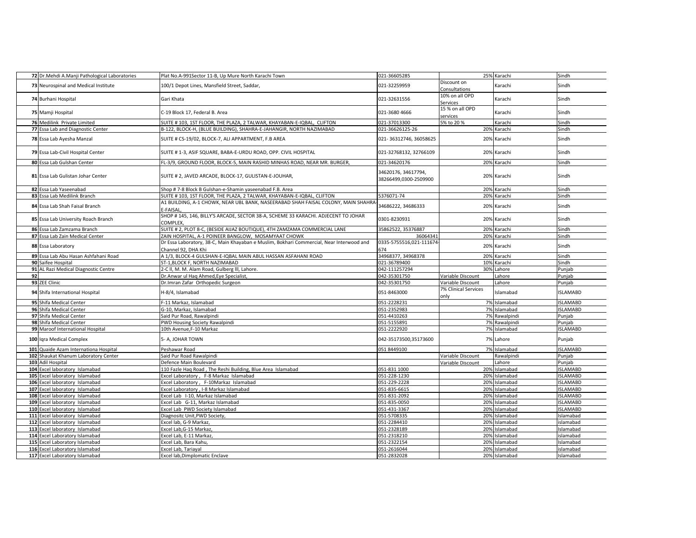|    | 72 Dr.Mehdi A.Manji Pathological Laboratories | Plat No.A-991Sector 11-B, Up Mure North Karachi Town                                                            | 021-36605285                                 |                              | 25% Karachi   | Sindh           |
|----|-----------------------------------------------|-----------------------------------------------------------------------------------------------------------------|----------------------------------------------|------------------------------|---------------|-----------------|
|    | 73 Neurospinal and Medical Institute          | 100/1 Depot Lines, Mansfield Street, Saddar,                                                                    | 021-32259959                                 | Discount on<br>Consultations | Karachi       | Sindh           |
|    | 74 Burhani Hospital                           | Gari Khata                                                                                                      | 021-32631556                                 | 10% on all OPD<br>Services   | Karachi       | Sindh           |
|    | 75 Mamji Hospital                             | C-19 Block 17, Federal B. Area                                                                                  | 021-3680 4666                                | 15 % on all OPD<br>services  | Karachi       | Sindh           |
|    | 76 Medilink Private Limited                   | SUITE # 103, 1ST FLOOR, THE PLAZA, 2 TALWAR, KHAYABAN-E-IQBAL, CLIFTON                                          | 021-37013300                                 | 5% to 20 %                   | Karachi       | Sindh           |
|    | 77 Essa Lab and Diagnostic Center             | B-122, BLOCK-H, (BLUE BUILDING), SHAHRA-E-JAHANGIR, NORTH NAZIMABAD                                             | 021-36626125-26                              |                              | 20% Karachi   | Sindh           |
|    | 78 Essa Lab Ayesha Manzal                     | SUITE # CS-19/02, BLOCK-7, ALI APPARTMENT, F.B AREA                                                             | 021-36312746, 36058625                       | 20%                          | Karachi       | Sindh           |
|    | 79 Essa Lab-Civil Hospital Center             | SUITE # 1-3, ASIF SQUARE, BABA-E-URDU ROAD, OPP. CIVIL HOSPITAL                                                 | 021-32768132, 32766109                       | 20%                          | Karachi       | Sindh           |
|    | 80 Essa Lab Gulshan Center                    | FL-3/9, GROUND FLOOR, BLOCK-5, MAIN RASHID MINHAS ROAD, NEAR MR. BURGER,                                        | 021-34620176                                 | 20%                          | Karachi       | Sindh           |
|    | 81 Essa Lab Gulistan Johar Center             | SUITE # 2, JAVED ARCADE, BLOCK-17, GULISTAN-E-JOUHAR,                                                           | 34620176, 34617794,<br>38266499,0300-2509900 |                              | 20% Karachi   | Sindh           |
|    | 82 Essa Lab Yaseenabad                        | Shop #7-8 Block B Gulshan-e-Shamin yaseenabad F.B. Area                                                         |                                              | 20%                          | Karachi       | Sindh           |
|    | 83 Essa Lab Medilink Branch                   | SUITE # 103, 1ST FLOOR, THE PLAZA, 2 TALWAR, KHAYABAN-E-IQBAL, CLIFTON                                          | 5376071-74                                   | 20%                          | Karachi       | Sindh           |
|    | 84 Essa Lab Shah Faisal Branch                | A1 BUILDING, A-1 CHOWK, NEAR UBL BANK, NASEERABAD SHAH FAISAL COLONY, MAIN SHAHRA<br>E-FAISAL                   | 34686222, 34686333                           | 20%                          | Karachi       | Sindh           |
|    | 85 Essa Lab University Roach Branch           | SHOP # 145, 146, BILLY'S ARCADE, SECTOR 38-A, SCHEME 33 KARACHI. ADJECENT TO JOHAR<br>COMPLEX.                  | 0301-8230931                                 | 20%                          | Karachi       | Sindh           |
|    | 86 Essa Lab Zamzama Branch                    | SUITE # 2, PLOT 8-C, (BESIDE AIJAZ BOUTIQUE), 4TH ZAMZAMA COMMERCIAL LANE                                       | 35862522, 35376887                           | 20%                          | Karachi       | Sindh           |
|    | 87 Essa Lab Zain Medical Center               | ZAIN HOSPITAL, A-1 POINEER BANGLOW, MOSAMYAAT CHOWK                                                             | 36064341                                     | 20%                          | Karachi       | Sindh           |
|    | 88 Essa Laboratory                            | Dr Essa Laboratory, 38-C, Main Khayaban e Muslim, Bokhari Commercial, Near Interwood and<br>Channel 92, DHA Khi | 0335-5755516,021-111674<br>674               | 20%                          | Karachi       | Sindh           |
|    | 89 Essa Lab Abu Hasan Ashfahani Road          | A 1/3, BLOCK-4 GULSHAN-E-IQBAL MAIN ABUL HASSAN ASFAHANI ROAD                                                   | 34968377, 34968378                           | 20%                          | Karachi       | Sindh           |
|    | 90 Saifee Hospital                            | ST-1, BLOCK F, NORTH NAZIMABAD                                                                                  | 021-36789400                                 | 10%                          | Karachi       | Sindh           |
|    | 91 AL Razi Medical Diagnostic Centre          | 2-C II, M. M. Alam Road, Gulberg III, Lahore.                                                                   | 042-111257294                                | 30%                          | Lahore        | Punjab          |
| 92 |                                               | Dr.Anwar ul Hag Ahmed, Eye Specialist,                                                                          | 042-35301750                                 | Variable Discount            | Lahore        | Punjab          |
|    | 93 ZEE Clinic                                 | Dr.Imran Zafar Orthopedic Surgeon                                                                               | 042-35301750                                 | Variable Discount            | Lahore        | Punjab          |
|    | 94 Shifa International Hospital               | H-8/4, Islamabad                                                                                                | 051-8463000                                  | 7% Clinical Services<br>only | Islamabad     | <b>ISLAMABD</b> |
|    | 95 Shifa Medical Center                       | F-11 Markaz, Islamabad                                                                                          | 051-2228231                                  |                              | 7% Islamabad  | <b>ISLAMABD</b> |
|    | 96 Shifa Medical Center                       | G-10, Markaz, Islamabad                                                                                         | 051-2352983                                  |                              | 7% Islamabad  | <b>ISLAMABD</b> |
|    | 97 Shifa Medical Center                       | Said Pur Road, Rawalpindi                                                                                       | 051-4410263                                  |                              | 7% Rawalpindi | Punjab          |
|    | 98 Shifa Medical Center                       | PWD Housing Society Rawalpindi                                                                                  | 051-5155891                                  |                              | 7% Rawalpindi | Punjab          |
|    | 99 Maroof International Hospital              | 10th Avenue, F-10 Markaz                                                                                        | 051-2222920                                  | 7%                           | Islamabad     | <b>ISLAMABD</b> |
|    | 100 Igra Medical Complex                      | 5- A, JOHAR TOWN                                                                                                | 042-35173500,35173600                        |                              | 7% Lahore     | Punjab          |
|    | 101 Quaide Azam Internationa Hospital         | Peshawar Road                                                                                                   | 051 8449100                                  |                              | 7% Islamabad  | <b>ISLAMABD</b> |
|    | 102 Shaukat Khanum Laboratory Center          | Said Pur Road Rawalpindi                                                                                        |                                              | Variable Discount            | Rawalpindi    | Punjab          |
|    | 103 Adil Hospital                             | Defence Main Boulevard                                                                                          |                                              | Variable Discount            | Lahore        | Punjab          |
|    | 104 Excel laboratory Islamabad                | 110 Fazle Haq Road, The Reshi Building, Blue Area Islamabad                                                     | 051-831 1000                                 |                              | 20% Islamabad | <b>ISLAMABD</b> |
|    | 105 Excel laboratory Islamabad                | Excel Laboratory, F-8 Markaz Islamabad                                                                          | 051-228-1230                                 |                              | 20% Islamabad | <b>ISLAMABD</b> |
|    | 106 Excel laboratory Islamabad                | Excel Laboratory, F-10Markaz Islamabad                                                                          | 051-229-2228                                 | 20%                          | Islamabad     | <b>ISLAMABD</b> |
|    | 107 Excel laboratory Islamabad                | Excel Laboratory, I-8 Markaz Islamabad                                                                          | 051-835-6615                                 |                              | 20% Islamabad | <b>ISLAMABD</b> |
|    | 108 Excel laboratory Islamabad                | Excel Lab I-10, Markaz Islamabad                                                                                | 051-831-2092                                 |                              | 20% Islamabad | <b>ISLAMABD</b> |
|    | 109 Excel laboratory Islamabad                | Excel Lab G-11, Markaz Islamabad                                                                                | 051-835-0050                                 |                              | 20% Islamabad | <b>ISLAMABD</b> |
|    | 110 Excel laboratory Islamabad                | Excel Lab PWD Society Islamabad                                                                                 | 051-431-3367                                 |                              | 20% Islamabad | <b>ISLAMABD</b> |
|    | 111 Excel laboratory Islamabad                | Diagnositc Unit, PWD Society,                                                                                   | 051-5708335                                  |                              | 20% Islamabad | Islamabad       |
|    | 112 Excel laboratory Islamabad                | Excel lab, G-9 Markaz,                                                                                          | 051-2284410                                  | 20%                          | Islamabad     | islamabad       |
|    | 113 Excel laboratory Islamabad                | Excel Lab, G-15 Markaz,                                                                                         | 051-2328189                                  |                              | 20% Islamabad | Islamabad       |
|    | 114 Excel Laboratory Islamabad                | Excel Lab, E-11 Markaz,                                                                                         | 051-2318210                                  |                              | 20% Islamabad | islamabad       |
|    | 115 Excel Laboratory Islamabad                | Excel Lab, Bara Kahu,                                                                                           | 051-2322154                                  |                              | 20% Islamabad | Islamabad       |
|    | 116 Excel Laboratory Islamabad                | Excel Lab, Tariayal                                                                                             | 051-2616044                                  |                              | 20% Islamabad | islamabad       |
|    | 117 Excel Laboratory Islamabad                | Excel lab, Dimplomatic Enclave                                                                                  | 051-2832028                                  |                              | 20% Islamabad | Islamabad       |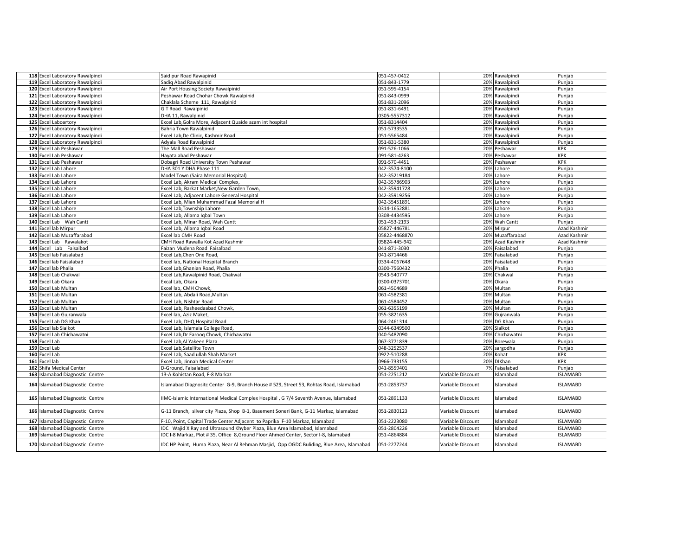|     | 118 Excel Laboratory Rawalpindi | Said pur Road Rawapinid                                                                  | 051-457-0412  |                   | 20% Rawalpindi   | Punjab          |
|-----|---------------------------------|------------------------------------------------------------------------------------------|---------------|-------------------|------------------|-----------------|
|     | 119 Excel Laboratory Rawalpindi | Sadig Abad Rawalpinid                                                                    | 051-843-1779  |                   | 20% Rawalpindi   | Punjab          |
|     | 120 Excel Laboratory Rawalpindi | Air Port Housing Society Rawalpinid                                                      | 051-595-4154  |                   | 20% Rawalpindi   | Punjab          |
|     | 121 Excel Laboratory Rawalpindi | Peshawar Road Chohar Chowk Rawalpinid                                                    | 051-843-0999  |                   | 20% Rawalpindi   | Punjab          |
|     | 122 Excel Laboratory Rawalpindi | Chaklala Scheme 111, Rawalpinid                                                          | 051-831-2096  |                   | 20% Rawalpindi   | Punjab          |
|     | 123 Excel Laboratory Rawalpindi | <b>GT Road Rawalpinid</b>                                                                | 051-831-6491  |                   | 20% Rawalpindi   | Punjab          |
|     | 124 Excel Laboratory Rawalpindi | DHA 11, Rawalpinid                                                                       | 0305-5557312  |                   | 20% Rawalpindi   | Punjab          |
|     | 125 Excel Laboartory            | Excel Lab, Golra More, Adjacent Quaide azam int hospital                                 | 051-8314404   |                   | 20% Rawalpindi   | Punjab          |
|     | 126 Excel Laboratory Rawalpindi | Bahria Town Rawalpinid                                                                   | 051-5733535   |                   | 20% Rawalpindi   | Punjab          |
|     | 127 Excel Laboratory Rawalpindi | Excel Lab,De Clinic, Kashmir Road                                                        | 051-5565484   |                   | 20% Rawalpindi   | Punjab          |
|     | 128 Excel Laboratory Rawalpindi | Adyala Road Rawalpinid                                                                   | 051-831-5380  | 20%               | Rawalpindi       | Punjab          |
|     | 129 Excel Lab Peshawar          | The Mall Road Peshawar                                                                   | 091-526-1066  |                   | 20% Peshawar     | KPK             |
|     | 130 Excel Lab Peshawar          | Hayata abad Peshawar                                                                     | 091-581-4263  |                   | 20% Peshawar     | <b>KPK</b>      |
|     | 131 Excel Lab Peshawar          | Dobagri Road University Town Peshawar                                                    | 091-570-4451  |                   | 20% Peshawar     | <b>KPK</b>      |
|     | 132 Excel Lab Lahore            | DHA 301 Y DHA Phase 111                                                                  | 042-3574-8100 |                   | 20% Lahore       | Punjab          |
|     | 133 Excel Lab Lahore            | Model Town (Saira Memorial Hospital)                                                     | 042-35219184  |                   | 20% Lahore       | Punjab          |
|     | 134 Excel Lab Lahore            | Excel Lab, Akram Medical Complex,                                                        | 042-35786903  |                   | 20% Lahore       | Punjab          |
|     | 135 Excel Lab Lahore            | Excel Lab, Barkat Market, New Garden Town,                                               | 042-35941728  |                   | 20% Lahore       | punjab          |
|     | 136 Excel Lab Lahore            | Excel Lab, Adjacent Lahore General Hospital                                              | 042-35919256  |                   | 20% Lahore       | Punjab          |
|     | 137 Excel Lab Lahore            | Excel Lab, Mian Muhammad Fazal Memorial H                                                | 042-35451891  |                   | 20% Lahore       | Punjab          |
|     | 138 Excel Lab Lahore            | Excel Lab, Township Lahore                                                               | 0314-1652881  |                   | 20% Lahore       | Punjab          |
|     | 139 Excel Lab Lahore            | Excel Lab, Allama Iqbal Town                                                             | 0308-4434595  |                   | 20% Lahore       | Punjab          |
|     | 140 Excel Lab Wah Cantt         | Excel Lab, Minar Road, Wah Cantt                                                         | 051-453-2193  |                   | 20% Wah Cantt    | Punjab          |
|     | 141 Excel lab Mirpur            | Excel Lab, Allama Igbal Road                                                             | 05827-446781  |                   | 20% Mirpur       | Azad Kashmir    |
|     | 142 Excel Lab Muzaffarabad      | Excel lab CMH Road                                                                       | 05822-4468870 |                   | 20% Muzaffarabad | Azad Kashmir    |
|     | 143 Excel Lab Rawalakot         | CMH Road Rawalla Kot Azad Kashmir                                                        | 05824-445-942 |                   | 20% Azad Kashmir | Azad Kashmir    |
|     | 144 Excel Lab Faisalbad         | Faizan Mudena Road Faisalbad                                                             | 041-871-3030  |                   | 20% Faisalabad   | Punjab          |
|     | 145 Excel lab Faisalabad        | Excel Lab, Chen One Road,                                                                | 041-8714466   |                   | 20% Faisalabad   | Punjab          |
|     | 146 Excel lab Faisalabad        | Excel lab, National Hospital Branch                                                      | 0334-4067648  |                   | 20% Faisalabad   | Punjab          |
|     | 147 Excel lab Phalia            | Excel Lab, Ghanian Road, Phalia                                                          | 0300-7560432  |                   | 20% Phalia       | Punjab          |
|     | 148 Excel Lab Chakwal           | Excel Lab, Rawalpinid Road, Chakwal                                                      | 0543-540777   | 20%               | Chakwal          | Punjab          |
|     | 149 Excel Lab Okara             | Excal Lab, Okara                                                                         | 0300-0373701  | 20%               | Okara            | Punjab          |
|     | 150 Excel Lab Multan            | Excel lab, CMH Chowk,                                                                    | 061-4504689   |                   | 20% Multan       | Punjab          |
|     | 151 Excel Lab Multan            | Excel Lab, Abdali Road, Multan                                                           | 061-4582381   | 20%               | Multan           | Punjab          |
|     | 152 Excel Lab Multan            | Excel Lab, Nishtar Road                                                                  | 061-4584452   | 20%               | Multan           | Punjab          |
|     | 153 Excel Lab Multan            | Excel Lab, Rasheedaabad Chowk,                                                           | 061-6355199   |                   | 20% Multan       | Punjab          |
|     | 154 Excel Lab Gujranwala        | Excel lab, Aziz Maket,                                                                   | 055-3821635   | 20%               | Gujranwala       | Punjab          |
|     | 155 Excel Lab DG Khan           | Excel Lab, DHQ Hospital Road                                                             | 064-2461314   |                   | 20% DG Khan      | Punjab          |
|     | 156 Excel lab Sialkot           | Excel Lab, Islamaia College Road,                                                        | 0344-6349500  | 20%               | Sialkot          | Punjab          |
|     | 157 Excel Lab Chichawatni       | Excel Lab,Dr Faroog Chowk, Chichawatni                                                   | 040-5482090   | 20%               | Chichawatni      | Punjab          |
|     | 158 Excel Lab                   | Excel Lab,Al Yakeen Plaza                                                                | 067-3771839   |                   | 20% Borewala     | Punjab          |
|     | 159 Excel Lab                   | Excel Lab, Satellite Town                                                                | 048-3252537   | 20%               | sargodha         | Punjab          |
|     | 160 Excel Lab                   | Excel Lab, Saad ullah Shah Market                                                        | 0922-510288   | 20%               | Kohat            | KPK             |
|     | 161 Excel lab                   | Excel Lab, Jinnah Medical Center                                                         | 0966-733155   |                   | 20% DIKhan       | <b>KPK</b>      |
|     | 162 Shifa Medical Center        | D-Ground, Faisalabad                                                                     | 041-8559401   |                   | 7% Faisalabad    | Punjab          |
|     | 163 Islamabad Diagnostic Centre | 13-A Kohistan Road, F-8 Markaz                                                           | 051-2251212   | Variable Discount | Islamabad        | <b>ISLAMABD</b> |
|     | 164 Islamabad Diagnostic Centre | Islamabad Diagnositc Center G-9, Branch House #529, Street 53, Rohtas Road, Islamabad    | 051-2853737   | Variable Discount | Islamabad        | <b>ISLAMABD</b> |
|     | 165 Islamabad Diagnostic Centre | IIMC-Islamic International Medical Complex Hospital, G 7/4 Seventh Avenue, Islamabad     | 051-2891133   | Variable Discount | Islamabad        | <b>ISLAMABD</b> |
|     | 166 Islamabad Diagnostic Centre | G-11 Branch, silver city Plaza, Shop B-1, Basement Soneri Bank, G-11 Markaz, Islamabad   | 051-2830123   | Variable Discount | Islamabad        | <b>ISLAMABD</b> |
|     | 167 Islamabad Diagnostic Centre | F-10, Point, Capital Trade Center Adjacent to Paprika F-10 Markaz, Islamabad             | 051-2223080   | Variable Discount | Islamabad        | <b>ISLAMABD</b> |
|     | 168 Islamabad Diagnostic Centre | IDC Wajid X Ray and Ultrasound Khyber Plaza, Blue Area Islamabad, Islamabad              | 051-2804226   | Variable Discount | Islamabad        | <b>ISLAMABD</b> |
|     | 169 Islamabad Diagnostic Centre | IDC I-8 Markaz, Plot # 35, Office 8, Ground Floor Ahmed Center, Sector I-8, Islamabad    | 051-4864884   | Variable Discount | Islamabad        | SLAMABD         |
| 170 | Islamabad Diagnostic Centre     | IDC HP Point, Huma Plaza, Near Al Rehman Masjid, Opp OGDC Buliding, Blue Area, Islamabad | 051-2277244   | Variable Discount | Islamabad        | <b>ISLAMABD</b> |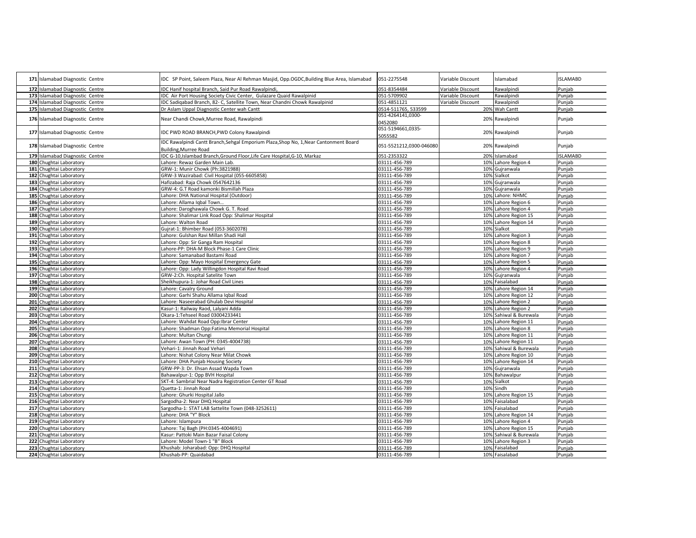| 171 Islamabad Diagnostic Centre | IDC SP Point, Saleem Plaza, Near Al Rehman Masjid, Opp.OGDC, Building Blue Area, Islamabad | 051-2275548                    | Variable Discount | Islamabad              | <b>ISLAMABD</b> |
|---------------------------------|--------------------------------------------------------------------------------------------|--------------------------------|-------------------|------------------------|-----------------|
| 172 Islamabad Diagnostic Centre | IDC Hanif hospital Branch, Said Pur Road Rawalpindi,                                       | 051-8354484                    | Variable Discount | Rawalpindi             | Punjab          |
| 173 Islamabad Diagnostic Centre | IDC Air Port Housing Society Civic Center, Gulazare Quaid Rawalpinid                       | 051-5709902                    | Variable Discount | Rawalpindi             | Punjab          |
| 174 Islamabad Diagnostic Centre | DC Sadigabad Branch, 82- C, Satellite Town, Near Chandni Chowk Rawalpinid                  | 051-4851121                    | Variable Discount | Rawalpindi             | Punjab          |
| 175 Islamabad Diagnostic Centre | Dr Aslam Uppal Diagnostic Center wah Cantt                                                 | 0514-511765, 533599            |                   | 20% Wah Cantt          | Punjab          |
|                                 |                                                                                            | 051-4264141,0300-              |                   |                        |                 |
| 176 Islamabad Diagnostic Centre | Near Chandi Chowk, Murree Road, Rawalpindi                                                 | 0452080                        |                   | 20% Rawalpindi         | Punjab          |
|                                 |                                                                                            | 051-5194661,0335-              |                   |                        |                 |
| 177 Islamabad Diagnostic Centre | IDC PWD ROAD BRANCH, PWD Colony Rawalpindi                                                 | 5055582                        |                   | 20% Rawalpindi         | Punjab          |
|                                 | IDC Rawalpindi Cantt Branch, Sehgal Emporium Plaza, Shop No, 1, Near Cantonment Board      |                                |                   |                        |                 |
| 178 Islamabad Diagnostic Centre | <b>Building, Murree Road</b>                                                               | 051-5521212,0300-046080        |                   | 20% Rawalpindi         | Punjab          |
| 179 Islamabad Diagnostic Centre | IDC G-10, Islambad Branch, Ground Floor, Life Care Hospital, G-10, Markaz                  | 051-2353322                    |                   | 20% Islamabad          | <b>ISLAMABD</b> |
| 180 Chughtai Laboratory         | Lahore: Rewaz Garden Main Lab.                                                             | 03111-456-789                  |                   | 10% Lahore Region 4    | Punjab          |
| 181 Chughtai Laboratory         | GRW-1: Munir Chowk (Ph:3821988)                                                            | 03111-456-789                  |                   | 10% Gujranwala         | Punjab          |
| 182 Chughtai Laboratory         | GRW-3 Wazirabad: Civil Hospital (055-6605858)                                              | 03111-456-789                  |                   | 10% Sialkot            | Punjab          |
| 183 Chughtai Laboratory         | Hafizabad: Raja Chowk 0547642136                                                           | 03111-456-789                  |                   | 10% Gujranwala         | Punjab          |
| 184 Chughtai Laboratory         | GRW-4: G.T Road kamonki Bismillah Plaza                                                    | 03111-456-789                  | 10%               | Gujranwala             | Punjab          |
| 185 Chughtai Laboratory         | Lahore: DHA National Hospital (Outdoor)                                                    | 03111-456-789                  |                   | 10% Lahore: NHMC       | Punjab          |
| 186 Chughtai Laboratory         | Lahore: Allama Iqbal Town                                                                  | 03111-456-789                  |                   | 10% Lahore Region 6    | Punjab          |
| 187 Chughtai Laboratory         | Lahore: Daroghawala Chowk G. T. Road                                                       | 03111-456-789                  |                   | 10% Lahore Region 4    | Punjab          |
| 188 Chughtai Laboratory         | ahore: Shalimar Link Road Opp: Shalimar Hospital                                           | 03111-456-789                  |                   | 10% Lahore Region 15   | Punjab          |
| 189 Chughtai Laboratory         | Lahore: Walton Road                                                                        | 03111-456-789                  |                   | 10% Lahore Region 14   | Punjab          |
| 190 Chughtai Laboratory         | Gujrat-1: Bhimber Road (053-3602078)                                                       |                                |                   | 10% Sialkot            | Punjab          |
| 191 Chughtai Laboratory         | Lahore: Gulshan Ravi Millan Shadi Hall                                                     | 03111-456-789<br>03111-456-789 |                   | 10% Lahore Region 3    |                 |
|                                 |                                                                                            |                                |                   | 10% Lahore Region 8    | Punjab          |
| 192 Chughtai Laboratory         | ahore: Opp: Sir Ganga Ram Hospital                                                         | 03111-456-789                  |                   |                        | Punjab          |
| 193 Chughtai Laboratory         | Lahore-PP: DHA-M Block Phase-1 Care Clinic                                                 | 03111-456-789                  |                   | 10% Lahore Region 9    | Punjab          |
| 194 Chughtai Laboratory         | Lahore: Samanabad Bastami Road                                                             | 03111-456-789                  |                   | 10% Lahore Region 7    | Punjab          |
| 195 Chughtai Laboratory         | Lahore: Opp: Mayo Hospital Emergency Gate                                                  | 03111-456-789                  |                   | 10% Lahore Region 5    | Punjab          |
| 196 Chughtai Laboratory         | Lahore: Opp: Lady Willingdon Hospital Ravi Road                                            | 03111-456-789                  |                   | 10% Lahore Region 4    | Punjab          |
| 197 Chughtai Laboratory         | GRW-2:Ch. Hospital Satelite Town                                                           | 03111-456-789                  |                   | 10% Gujranwala         | Punjab          |
| 198 Chughtai Laboratory         | Sheikhupura-1: Johar Road Civil Lines                                                      | 03111-456-789                  |                   | 10% Faisalabad         | Punjab          |
| 199 Chughtai Laboratory         | ahore: Cavalry Ground                                                                      | 03111-456-789                  |                   | 10% Lahore Region 14   | Punjab          |
| 200 Chughtai Laboratory         | Lahore: Garhi Shahu Allama Igbal Road                                                      | 03111-456-789                  |                   | 10% Lahore Region 12   | Punjab          |
| 201 Chughtai Laboratory         | Lahore: Naseerabad Ghulab Devi Hospital                                                    | 03111-456-789                  |                   | 10% Lahore Region 2    | Punjab          |
| 202 Chughtai Laboratory         | Kasur-1: Railway Raod, Lalyani Adda                                                        | 03111-456-789                  |                   | 10% Lahore Region 2    | Punjab          |
| 203 Chughtai Laboratory         | Okara-1:Tehseel Road 03004233441                                                           | 03111-456-789                  |                   | 10% Sahiwal & Burewala | Punjab          |
| 204 Chughtai Laboratory         | ahore: Wahdat Road Opp:Ibrar Center                                                        | 03111-456-789                  |                   | 10% Lahore Region 11   | Punjab          |
| 205 Chughtai Laboratory         | Lahore: Shadman Opp:Fatima Memorial Hospital                                               | 03111-456-789                  |                   | 10% Lahore Region 8    | Punjab          |
| 206 Chughtai Laboratory         | Lahore: Multan Chungi                                                                      | 03111-456-789                  |                   | 10% Lahore Region 11   | Punjab          |
| 207 Chughtai Laboratory         | Lahore: Awan Town (PH: 0345-4004738)                                                       | 03111-456-789                  |                   | 10% Lahore Region 11   | Punjab          |
| 208 Chughtai Laboratory         | Vehari-1: Jinnah Road Vehari                                                               | 03111-456-789                  |                   | 10% Sahiwal & Burewala | Punjab          |
| 209 Chughtai Laboratory         | Lahore: Nishat Colony Near Milat Chowk                                                     | 03111-456-789                  |                   | 10% Lahore Region 10   | Punjab          |
| 210 Chughtai Laboratory         | Lahore: DHA Punjab Housing Society                                                         | 03111-456-789                  |                   | 10% Lahore Region 14   | Punjab          |
| 211 Chughtai Laboratory         | GRW-PP-3: Dr. Ehsan Assad Wapda Town                                                       | 03111-456-789                  |                   | 10% Gujranwala         | Punjab          |
| 212 Chughtai Laboratory         | Bahawalpur-1: Opp BVH Hospital                                                             | 03111-456-789                  |                   | 10% Bahawalpur         | Punjab          |
| 213 Chughtai Laboratory         | SKT-4: Sambrial Near Nadra Registration Center GT Road                                     | 03111-456-789                  |                   | 10% Sialkot            | Punjab          |
| 214 Chughtai Laboratory         | Quetta-1: Jinnah Road                                                                      | 03111-456-789                  |                   | 10% Sindh              | Punjab          |
| 215 Chughtai Laboratory         | Lahore: Ghurki Hospital Jallo                                                              | 03111-456-789                  |                   | 10% Lahore Region 15   | Punjab          |
| 216 Chughtai Laboratory         | Sargodha-2: Near DHQ Hospital                                                              | 03111-456-789                  |                   | 10% Faisalabad         | Punjab          |
| 217 Chughtai Laboratory         | Sargodha-1: STAT LAB Sattelite Town (048-3252611)                                          | 03111-456-789                  |                   | 10% Faisalabad         | Punjab          |
| 218 Chughtai Laboratory         | Lahore: DHA "Y" Block                                                                      | 03111-456-789                  |                   | 10% Lahore Region 14   | Punjab          |
| 219 Chughtai Laboratory         | ahore: Islampura                                                                           | 03111-456-789                  |                   | 10% Lahore Region 4    | Punjab          |
| 220 Chughtai Laboratory         | Lahore: Taj Bagh (PH:0345-4004691)                                                         | 03111-456-789                  |                   | 10% Lahore Region 15   | Punjab          |
| 221 Chughtai Laboratory         | Kasur: Pattoki Main Bazar Faisal Colony                                                    | 03111-456-789                  |                   | 10% Sahiwal & Burewala | Punjab          |
| 222 Chughtai Laboratory         | Lahore: Model Town-1 "B" Block                                                             | 03111-456-789                  |                   | 10% Lahore Region 3    | Punjab          |
| 223 Chughtai Laboratory         | Khushab: Joharabad: Opp: DHQ Hospital                                                      | 03111-456-789                  |                   | 10% Faisalabad         | Punjab          |
| 224 Chughtai Laboratory         | Khushab-PP: Quaidabad                                                                      | 03111-456-789                  |                   | 10% Faisalabad         | Punjab          |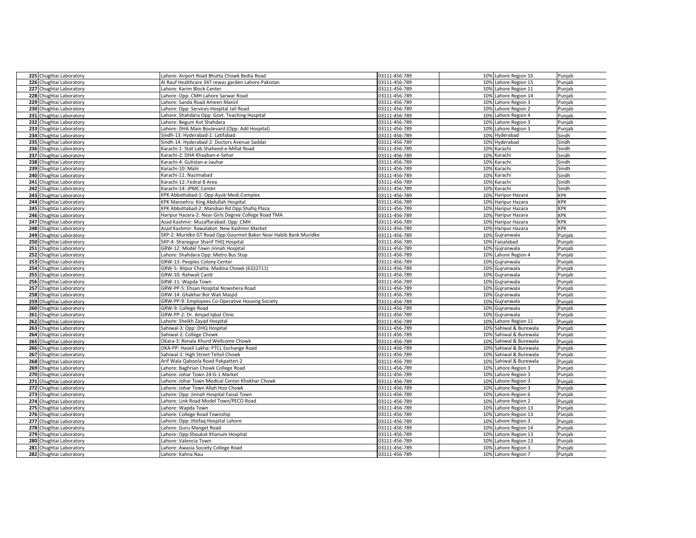| 225 Chughtai Laboratory | Lahore: Airport Road Bhutta Chowk Bedia Road                     | 03111-456-789 | 10% Lahore Region 10      | Punjab     |
|-------------------------|------------------------------------------------------------------|---------------|---------------------------|------------|
| 226 Chughtai Laboratory | Al Rauf Healthcare 347 rewaz garden Lahore Pakistan              | 03111-456-789 | 10% Lahore Region 15      | Punjab     |
| 227 Chughtai Laboratory | Lahore: Karim Block Center                                       | 03111-456-789 | 10% Lahore Region 11      | Punjab     |
| 228 Chughtai Laboratory | Lahore: Opp: CMH Lahore Sarwar Road                              | 03111-456-789 | 10% Lahore Region 14      | Punjab     |
| 229 Chughtai Laboratory | Lahore: Sanda Road Ameen Manzil                                  | 03111-456-789 | 10% Lahore Region 3       | Punjab     |
| 230 Chughtai Laboratory | Lahore: Opp: Services Hospital Jail Road                         | 03111-456-789 | 10% Lahore Region 2       | Punjab     |
| 231 Chughtai Laboratory | Lahore: Shahdara Opp: Govt. Teaching Hospital                    | 03111-456-789 | 10% Lahore Region 4       | Punjab     |
| 232 Chughtai Laboratory | ahore: Begum Kot Shahdara                                        | 03111-456-789 | Lahore Region 3<br>10%    | Punjab     |
| 233 Chughtai Laboratory | Lahore: DHA Main Boulevard (Opp: Adil Hospital)                  | 03111-456-789 | 10% Lahore Region 3       | Punjab     |
| 234 Chughtai Laboratory | Sindh-13: Hyderabad-1: Latifabad                                 | 03111-456-789 | 10% Hyderabad             | Sindh      |
| 235 Chughtai Laboratory | Sindh-14: Hyderabad-2: Doctors Avenue Saddar                     | 03111-456-789 | 10% Hyderabad             | Sindh      |
| 236 Chughtai Laboratory | Karachi-1: Stat Lab Shaheed-e-Millat Road                        | 03111-456-789 | 10% Karachi               | Sindh      |
| 237 Chughtai Laboratory | Karachi-2: DHA Khayban-e-Sehar                                   | 03111-456-789 | 10%<br>Karachi            | Sindh      |
| 238 Chughtai Laboratory | Karachi-4: Gulistan-e-Jauhar                                     | 03111-456-789 | 10%<br>Karachi            | Sindh      |
| 239 Chughtai Laboratory | Karachi-10: Malir                                                | 03111-456-789 | Karachi<br>10%            | Sindh      |
| 240 Chughtai Laboratory | Karachi-11: Nazimabad                                            | 03111-456-789 | 10%<br>Karachi            | Sindh      |
| 241 Chughtai Laboratory | Karachi-12: Fedral B Area                                        | 03111-456-789 | 10% Karachi               | Sindh      |
| 242 Chughtai Laboratory | Karachi-14: JPMC Center                                          | 03111-456-789 | 10%<br>Karachi            | Sindh      |
| 243 Chughtai Laboratory | KPK Abbottabad-1: Opp:Ayub Medi.Complex                          | 03111-456-789 | Haripur Hazara<br>10%     | <b>KPK</b> |
| 244 Chughtai Laboratory | KPK Mansehra: King Abdullah Hospital                             | 03111-456-789 | Haripur Hazara<br>10%     | <b>KPK</b> |
| 245 Chughtai Laboratory | KPK Abbottabad-2: Mandian Rd Opp:Shafiq Plaza                    | 03111-456-789 | Haripur Hazara<br>10%     | <b>KPK</b> |
| 246 Chughtai Laboratory | Haripur Hazara-2: Near Girls Degree College Road TMA             | 03111-456-789 | 10%<br>Haripur Hazara     | <b>KPK</b> |
| 247 Chughtai Laboratory | Azad Kashmir: Muzaffarabad: Opp: CMH                             | 03111-456-789 | 10% Haripur Hazara        | <b>KPK</b> |
| 248 Chughtai Laboratory | Azad Kashmir: Rawalakot: New Kashmir Market                      | 03111-456-789 | 10% Haripur Hazara        | <b>KPK</b> |
| 249 Chughtai Laboratory | SKP-2: Muridke GT Road Opp:Gourmet Baker Near Habib Bank Muridke | 03111-456-789 | Gujranwala<br>10%         | Punjab     |
| 250 Chughtai Laboratory | SKP-4: Sharagpur Sharif THQ Hospital                             | 03111-456-789 | 10% Faisalabad            | Punjab     |
| 251 Chughtai Laboratory | GRW-12: Model Town Jinnah Hospital                               | 03111-456-789 | Gujranwala<br>10%         | Punjab     |
| 252 Chughtai Laboratory | Lahore: Shahdara Opp: Metro Bus Stop                             | 03111-456-789 | 10% Lahore Region 4       | Punjab     |
| 253 Chughtai Laboratory | GRW-13: Peoples Colony Center                                    | 03111-456-789 | 10% Gujranwala            | Punjab     |
| 254 Chughtai Laboratory | GRW-5: Alipur Chatta: Madina Chowk (6332711)                     | 03111-456-789 | 10% Gujranwala            | Punjab     |
| 255 Chughtai Laboratory | GRW-10: Rahwali Cantt                                            | 03111-456-789 | 10% Gujranwala            | Punjab     |
| 256 Chughtai Laboratory | GRW-11: Wapda Town                                               | 03111-456-789 | Gujranwala<br>10%         | Punjab     |
| 257 Chughtai Laboratory | GRW-PP-5: Ehsan Hospital Nowshera Road                           | 03111-456-789 | Gujranwala<br>10%         | Punjab     |
| 258 Chughtai Laboratory | GRW-14: Ghakhar Bor Wali Masjid                                  | 03111-456-789 | Gujranwala<br>10%         | Punjab     |
| 259 Chughtai Laboratory | GRW-PP-9: Employees Co-Operative Housing Society                 | 03111-456-789 | 10% Gujranwala            | Punjab     |
| 260 Chughtai Laboratory | GRW-9: College Road                                              | 03111-456-789 | 10% Gujranwala            | Punjab     |
| 261 Chughtai Laboratory | GRW-PP-2: Dr. Amjad Iqbal Clinic                                 | 03111-456-789 | 10% Gujranwala            | Punjab     |
| 262 Chughtai Laboratory | Lahore: Sheikh Zayad Hospital                                    | 03111-456-789 | 10% Lahore Region 11      | Punjab     |
| 263 Chughtai Laboratory | Sahiwal-3: Opp: DHQ Hospital                                     | 03111-456-789 | Sahiwal & Burewala<br>10% | Punjab     |
| 264 Chughtai Laboratory | Sahiwal-2: College Chowk                                         | 03111-456-789 | 10% Sahiwal & Burewala    | Punjab     |
| 265 Chughtai Laboratory | Okara-3: Renala Khurd Wellcome Chowk                             | 03111-456-789 | 10% Sahiwal & Burewala    | Punjab     |
| 266 Chughtai Laboratory | OKA-PP: Haveli Lakha: PTCL Exchange Road                         | 03111-456-789 | 10% Sahiwal & Burewala    | Punjab     |
| 267 Chughtai Laboratory | Sahiwal-1: High Street Tehsil Chowk                              | 03111-456-789 | 10% Sahiwal & Burewala    | Punjab     |
| 268 Chughtai Laboratory | Arif Wala Qaboola Road Pakpatten-2                               | 03111-456-789 | Sahiwal & Burewala<br>10% | Punjab     |
| 269 Chughtai Laboratory | Lahore: Baghrian Chowk College Road                              | 03111-456-789 | 10% Lahore Region 3       | Punjab     |
| 270 Chughtai Laboratory | Lahore: Johar Town 24-G-1 Market                                 | 03111-456-789 | Lahore Region 3<br>10%    | Punjab     |
| 271 Chughtai Laboratory | Lahore: Johar Town Medical Center Khokhar Chowk                  | 03111-456-789 | 10% Lahore Region 3       | Punjab     |
| 272 Chughtai Laboratory | Lahore: Johar Town Allah Hoo Chowk                               | 03111-456-789 | 10% Lahore Region 3       | Punjab     |
| 273 Chughtai Laboratory | Lahore: Opp: Jinnah Hospital Faisal Town                         | 03111-456-789 | 10% Lahore Region 6       | Punjab     |
| 274 Chughtai Laboratory | Lahore: Link Road Model Town/PECO Road                           | 03111-456-789 | 10% Lahore Region 2       | Punjab     |
| 275 Chughtai Laboratory | Lahore: Wapda Town                                               | 03111-456-789 | 10% Lahore Region 13      | Punjab     |
| 276 Chughtai Laboratory | Lahore: College Road Township                                    | 03111-456-789 | 10% Lahore Region 13      | Punjab     |
| 277 Chughtai Laboratory | Lahore: Opp: Ittefaq Hospital Lahore                             | 03111-456-789 | 10% Lahore Region 3       | Punjab     |
| 278 Chughtai Laboratory | Lahore: Guru Manget Road                                         | 03111-456-789 | 10% Lahore Region 14      | Punjab     |
| 279 Chughtai Laboratory | Lahore: Opp:Shoukat Khanum Hospital                              | 03111-456-789 | 10% Lahore Region 13      | Punjab     |
| 280 Chughtai Laboratory |                                                                  |               |                           |            |
|                         | Lahore: Valencia Town                                            | 03111-456-789 | 10% Lahore Region 13      | Punjab     |
| 281 Chughtai Laboratory | Lahore: Awasia Society College Road                              | 03111-456-789 | 10% Lahore Region 3       | Punjab     |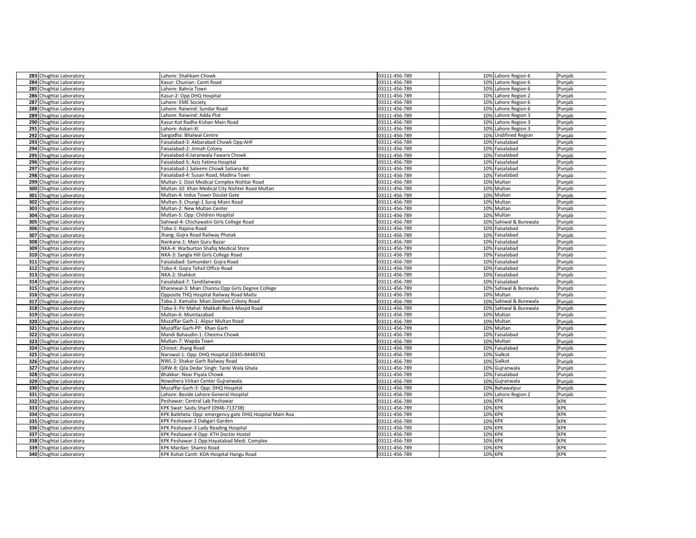| 283 Chughtai Laboratory                            | Lahore: Shahkam Chowk                                                 | 03111-456-789 | 10% Lahore Region 6       | Punjab                   |
|----------------------------------------------------|-----------------------------------------------------------------------|---------------|---------------------------|--------------------------|
| 284 Chughtai Laboratory                            | Kasur: Chunian: Cantt Road                                            | 03111-456-789 | 10% Lahore Region 6       | Punjab                   |
| 285 Chughtai Laboratory                            | Lahore: Bahria Town                                                   | 03111-456-789 | 10% Lahore Region 6       | Punjab                   |
|                                                    |                                                                       |               |                           |                          |
| 286 Chughtai Laboratory                            | Kasur-2: Opp DHQ Hospital                                             | 03111-456-789 | 10% Lahore Region 2       | Punjab                   |
| 287 Chughtai Laboratory                            | Lahore: EME Society                                                   | 03111-456-789 | 10% Lahore Region 6       | Punjab                   |
| 288 Chughtai Laboratory                            | Lahore: Raiwind: Sundar Road                                          | 03111-456-789 | 10% Lahore Region 6       | Punjab                   |
| 289 Chughtai Laboratory                            | Lahore: Raiwind: Adda Plot                                            | 03111-456-789 | 10% Lahore Region 3       | Punjab                   |
| 290 Chughtai Laboratory                            | Kasur:Kot Radha Kishan Main Road                                      | 03111-456-789 | 10% Lahore Region 3       | Punjab                   |
| 291 Chughtai Laboratory                            | Lahore: Askari-XI                                                     | 03111-456-789 | 10% Lahore Region 3       | Punjab                   |
| 292 Chughtai Laboratory                            | Sargodha: Bhalwal Centre                                              | 03111-456-789 | 10% Undifined Region      | Punjab                   |
| 293 Chughtai Laboratory                            | Faisalabad-3: Akbarabad Chowk Opp:AHF                                 | 03111-456-789 | Faisalabad<br>10%         | Punjab                   |
| 294 Chughtai Laboratory                            | Faisalabad-2: Jinnah Colony                                           | 03111-456-789 | 10% Faisalabad            | Punjab                   |
| 295 Chughtai Laboratory                            | Faisalabad-6:Jaranwala Fawara Chowk                                   | 03111-456-789 | 10%<br>Faisalabad         | Punjab                   |
| 296 Chughtai Laboratory                            | Faisalabad-5: Aziz Fatima Hospital                                    | 03111-456-789 | Faisalabad<br>10%         | Punjab                   |
| 297 Chughtai Laboratory                            | Faisalabad-1 Saleemi Chowk Satiana Rd                                 | 03111-456-789 | Faisalabad<br>10%         | Punjab                   |
| 298 Chughtai Laboratory                            | Faisalabad-4: Susan Road, Madina Town                                 | 03111-456-789 | Faisalabad<br>10%         | Punjab                   |
| 299 Chughtai Laboratory                            | Multan-1: Dost Medical Complex Nishtar Road                           | 03111-456-789 | 10% Multan                | Punjab                   |
| 300 Chughtai Laboratory                            | Multan-10: Khan Medical City Nishter Road Multan                      | 03111-456-789 | 10%<br>Multan             | Punjab                   |
| 301 Chughtai Laboratory                            | Multan-4: Indus Tower Doulat Gate                                     | 03111-456-789 | 10% Multan                | Punjab                   |
| 302 Chughtai Laboratory                            | Multan-3: Chungi-1 Suraj Miani Road                                   | 03111-456-789 | 10% Multan                | Punjab                   |
| 303 Chughtai Laboratory                            | Multan-2: New Multan Center                                           | 03111-456-789 | 10% Multan                | Punjab                   |
| 304 Chughtai Laboratory                            | Multan-5: Opp: Children Hospital                                      | 03111-456-789 | 10% Multan                | Punjab                   |
| 305 Chughtai Laboratory                            | Sahiwal-4: Chichawatni Girls College Road                             | 03111-456-789 | Sahiwal & Burewala<br>10% | Punjab                   |
| 306 Chughtai Laboratory                            | Toba-1: Rajana Road                                                   | 03111-456-789 | 10% Faisalabad            | Punjab                   |
| 307 Chughtai Laboratory                            | Jhang: Gojra Road Railway Phatak                                      | 03111-456-789 | 10%<br>Faisalabad         | Punjab                   |
| 308 Chughtai Laboratory                            | Nankana-1: Main Guru Bazar                                            | 03111-456-789 | 10% Faisalabad            | Punjab                   |
| 309 Chughtai Laboratory                            | NKA-4: Warburton Shafiq Medical Store                                 | 03111-456-789 | 10% Faisalabad            | Punjab                   |
| 310 Chughtai Laboratory                            | NKA-3: Sangla Hill Girls College Road                                 | 03111-456-789 | 10% Faisalabad            | Punjab                   |
| 311 Chughtai Laboratory                            | Faisalabad: Samundari: Gojra Road                                     | 03111-456-789 | 10% Faisalabad            | Punjab                   |
| 312 Chughtai Laboratory                            | Toba-4: Gojra Tehsil Office Road                                      | 03111-456-789 | 10%<br>Faisalabad         | Punjab                   |
| 313 Chughtai Laboratory                            | NKA-2: Shahkot                                                        | 03111-456-789 | 10% Faisalabad            | Punjab                   |
| 314 Chughtai Laboratory                            | Faisalabad-7: Tandilanwala                                            | 03111-456-789 | Faisalabad<br>10%         | Punjab                   |
| 315 Chughtai Laboratory                            | Khanewal-3: Mian Channu: Opp Girls Degree College                     | 03111-456-789 | Sahiwal & Burewala<br>10% | Punjab                   |
| 316 Chughtai Laboratory                            | Opposite THQ Hospital Railway Road Mailsi                             | 03111-456-789 | 10% Multan                | Punjab                   |
| 317 Chughtai Laboratory                            | Toba-2: Kamalia: Mian Zeeshan Colony Road                             | 03111-456-789 | 10% Sahiwal & Burewala    | Punjab                   |
| 318 Chughtai Laboratory                            | Toba-3: Pir Mahal: Makkah Block Masjid Road                           | 03111-456-789 | Sahiwal & Burewala<br>10% | Punjab                   |
| 319 Chughtai Laboratory                            | Multan-6: Mumtazabad                                                  | 03111-456-789 | 10%<br>Multan             | Punjab                   |
| 320 Chughtai Laboratory                            | Muzaffar Garh-1: Alipur Multan Road                                   | 03111-456-789 | 10% Multan                | Punjab                   |
| 321 Chughtai Laboratory                            | Muzaffar Garh-PP: Khan Garh                                           | 03111-456-789 | Multan<br>10%             | Punjab                   |
| 322 Chughtai Laboratory                            | Mandi Bahaudin-1: Cheema Chowk                                        | 03111-456-789 | Faisalabad<br>10%         | Punjab                   |
| 323 Chughtai Laboratory                            | Multan-7: Wapda Town                                                  | 03111-456-789 | 10% Multan                | Punjab                   |
| 324 Chughtai Laboratory                            | Chiniot: Jhang Road                                                   | 03111-456-789 | 10%<br>Faisalabad         | Punjab                   |
| 325 Chughtai Laboratory                            | Narowal-1: Opp: DHQ Hospital (0345-8448376)                           | 03111-456-789 | Sialkot<br>10%            | Punjab                   |
|                                                    | NWL-2: Shakar Garh Railway Road                                       | 03111-456-789 | Sialkot<br>10%            |                          |
| 326 Chughtai Laboratory<br>327 Chughtai Laboratory | GRW-8: Qila Dedar Singh: Tanki Wala Ghala                             | 03111-456-789 | 10%<br>Gujranwala         | Punjab<br>Punjab         |
| 328 Chughtai Laboratory                            | Bhakkar: Near Piyala Chowk                                            | 03111-456-789 | 10%<br>Faisalabad         | Punjab                   |
| 329 Chughtai Laboratory                            | Nowshera Virkan Center Gujranwala                                     | 03111-456-789 | 10% Guiranwala            | Punjab                   |
| 330 Chughtai Laboratory                            | Muzaffar Garh-3: Opp: DHQ Hospital                                    | 03111-456-789 | 10% Bahawalpur            | Punjab                   |
| 331 Chughtai Laboratory                            | Lahore: Beside Lahore General Hospital                                | 03111-456-789 | 10% Lahore Region 2       | Punjab                   |
|                                                    | Peshawar: Central Lab Peshawar                                        |               |                           | <b>KPK</b>               |
| 332 Chughtai Laboratory                            | KPK Swat: Saidu Sharif (0946-713738)                                  | 03111-456-789 | <b>10% KPK</b><br>10% KPK | <b>KPK</b>               |
| 333 Chughtai Laboratory                            |                                                                       | 03111-456-789 | <b>10% KPK</b>            | <b>KPK</b>               |
| 334 Chughtai Laboratory                            | KPK Batkhela: Opp: emergency gate DHQ Hospital Main Roa               | 03111-456-789 | <b>KPK</b><br>10%         | <b>KPK</b>               |
| 335 Chughtai Laboratory                            | KPK Peshawar-2 Dabgari Garden                                         | 03111-456-789 | 10% KPK                   | <b>KPK</b>               |
| 336 Chughtai Laboratory                            | KPK Peshawar-3 Lady Reading Hospital                                  | 03111-456-789 | <b>10% KPK</b>            | <b>KPK</b>               |
| 337 Chughtai Laboratory                            | KPK Peshawar-4 Opp: KTH Doctor Hostel                                 | 03111-456-789 | <b>KPK</b>                |                          |
| 338 Chughtai Laboratory                            | KPK Peshawar-1 Opp:Hayatabad Medi. Complex<br>KPK Mardan: Shamsi Road | 03111-456-789 | 10%                       | <b>KPK</b><br><b>KPK</b> |
| 339 Chughtai Laboratory                            |                                                                       | 03111-456-789 | 10% KPK                   | <b>KPK</b>               |
| 340 Chughtai Laboratory                            | KPK Kohat Cantt: KDA Hospital Hangu Road                              | 03111-456-789 | 10% KPK                   |                          |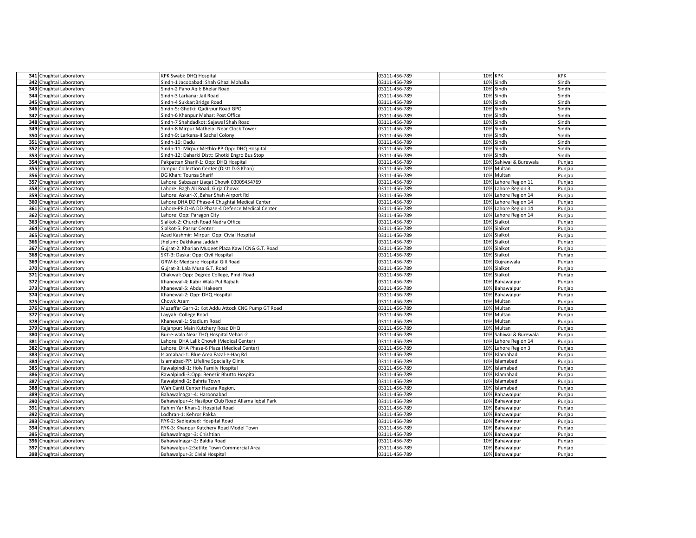|     | 341 Chughtai Laboratory | KPK Swabi: DHQ Hospital                            | 03111-456-789 | 10% KPK                   | <b>KPK</b> |
|-----|-------------------------|----------------------------------------------------|---------------|---------------------------|------------|
|     | 342 Chughtai Laboratory | Sindh-1 Jacobabad: Shah Ghazi Mohalla              | 03111-456-789 | 10% Sindh                 | Sindh      |
|     | 343 Chughtai Laboratory | Sindh-2 Pano Agil: Bhelar Road                     | 03111-456-789 | 10% Sindh                 | Sindh      |
|     | 344 Chughtai Laboratory | Sindh-3 Larkana: Jail Road                         | 03111-456-789 | 10% Sindh                 | Sindh      |
|     | 345 Chughtai Laboratory | Sindh-4 Sukkar:Bridge Road                         | 03111-456-789 | 10% Sindh                 | Sindh      |
|     | 346 Chughtai Laboratory | Sindh-5: Ghotki: Qadirpur Road GPO                 | 03111-456-789 | 10% Sindh                 | Sindh      |
|     | 347 Chughtai Laboratory | Sindh-6 Khanpur Mahar: Post Office                 | 03111-456-789 | 10% Sindh                 | Sindh      |
|     | 348 Chughtai Laboratory | Sindh-7 Shahdadkot: Sajawal Shah Road              | 03111-456-789 | Sindh<br>10%              | Sindh      |
|     | 349 Chughtai Laboratory | Sindh-8 Mirpur Mathelo: Near Clock Tower           | 03111-456-789 | Sindh<br>10%              | Sindh      |
|     | 350 Chughtai Laboratory | Sindh-9: Larkana-II Sachal Colony                  | 03111-456-789 | 10% Sindh                 | Sindh      |
|     | 351 Chughtai Laboratory | Sindh-10: Dadu                                     | 03111-456-789 | 10%<br>Sindh              | Sindh      |
|     | 352 Chughtai Laboratory | Sindh-11: Mirpur Methlo-PP Opp: DHQ Hospital       | 03111-456-789 | Sindh<br>10%              | Sindh      |
|     | 353 Chughtai Laboratory | Sindh-12: Daharki Distt: Ghotki Engro Bus Stop     | 03111-456-789 | 10%<br>Sindh              | Sindh      |
|     | 354 Chughtai Laboratory | Pakpattan Sharif-1: Opp: DHQ Hospital              | 03111-456-789 | Sahiwal & Burewala<br>10% | Punjab     |
|     | 355 Chughtai Laboratory | Jampur Collection Center (Distt D.G Khan)          | 03111-456-789 | Multan<br>10%             | Punjab     |
|     | 356 Chughtai Laboratory | DG Khan: Tounsa Sharif                             | 03111-456-789 | 10% Multan                | Punjab     |
|     | 357 Chughtai Laboratory | Lahore: Sabzazar Liagat Chowk 03009454769          | 03111-456-789 | 10% Lahore Region 11      | Punjab     |
|     | 358 Chughtai Laboratory | Lahore: Bagh Ali Road, Girja Chowk                 | 03111-456-789 | 10% Lahore Region 3       | Punjab     |
|     | 359 Chughtai Laboratory | Lahore: Askari-X , Bahar Shah Airport Rd           | 03111-456-789 | 10% Lahore Region 14      | Punjab     |
|     | 360 Chughtai Laboratory | Lahore: DHA DD Phase-4 Chughtai Medical Center     | 03111-456-789 | 10% Lahore Region 14      | Punjab     |
|     | 361 Chughtai Laboratory | Lahore-PP:DHA DD Phase-4 Defence Medical Center    | 03111-456-789 | 10% Lahore Region 14      | Punjab     |
|     | 362 Chughtai Laboratory | Lahore: Opp: Paragon City                          | 03111-456-789 | Lahore Region 14<br>10%   | Punjab     |
|     | 363 Chughtai Laboratory | Sialkot-2: Church Road Nadra Office                | 03111-456-789 | 10%<br>Sialkot            | Punjab     |
|     | 364 Chughtai Laboratory | Sialkot-5: Pasrur Center                           | 03111-456-789 | 10% Sialkot               | Punjab     |
|     | 365 Chughtai Laboratory | Azad Kashmir: Mirpur: Opp: Civial Hospital         | 03111-456-789 | 10%<br>Sialkot            | Punjab     |
|     | 366 Chughtai Laboratory | Jhelum: Dakhkana Jaddah                            | 03111-456-789 | Sialkot<br>10%            | Punjab     |
|     | 367 Chughtai Laboratory | Gujrat-2: Kharian Muqeet Plaza Kawil CNG G.T. Road | 03111-456-789 | Sialkot<br>10%            | Punjab     |
|     | 368 Chughtai Laboratory | SKT-3: Daska: Opp: Civil Hospital                  | 03111-456-789 | 10% Sialkot               | Punjab     |
|     | 369 Chughtai Laboratory | GRW-6: Medcare Hospital Gill Road                  | 03111-456-789 | Gujranwala<br>10%         | Punjab     |
|     | 370 Chughtai Laboratory | Gujrat-3: Lala Musa G.T. Road                      | 03111-456-789 | Sialkot<br>10%            | Punjab     |
|     | 371 Chughtai Laboratory | Chakwal: Opp: Degree College, Pindi Road           | 03111-456-789 | 10%<br>Sialkot            | Punjab     |
|     | 372 Chughtai Laboratory | Khanewal-4: Kabir Wala Pul Rajbah                  | 03111-456-789 | 10% Bahawalpur            | Punjab     |
|     | 373 Chughtai Laboratory | Khanewal-5: Abdul Hakeem                           | 03111-456-789 | Bahawalpur<br>10%         | Punjab     |
|     | 374 Chughtai Laboratory | Khanewal-2: Opp: DHQ Hospital                      | 03111-456-789 | 10% Bahawalpur            | Punjab     |
|     | 375 Chughtai Laboratory | Chowk Azam                                         | 03111-456-789 | 10% Multan                | Punjab     |
|     | 376 Chughtai Laboratory | Muzaffar Garh-2: Kot Addu Attock CNG Pump GT Road  | 03111-456-789 | 10% Multan                | Punjab     |
|     | 377 Chughtai Laboratory | Layyah: College Road                               | 03111-456-789 | 10% Multan                | Punjab     |
|     | 378 Chughtai Laboratory | Khanewal-1: Stadium Road                           | 03111-456-789 | 10% Multan                | Punjab     |
|     | 379 Chughtai Laboratory | Rajanpur: Main Kutchery Road DHQ                   | 03111-456-789 | Multan<br>10%             | Punjab     |
|     | 380 Chughtai Laboratory | Bur-e-wala Near THQ Hospital Vehari-2              | 03111-456-789 | 10% Sahiwal & Burewala    | Punjab     |
|     | 381 Chughtai Laboratory | Lahore: DHA Lalik Chowk (Medical Center)           | 03111-456-789 | 10% Lahore Region 14      | Punjab     |
|     | 382 Chughtai Laboratory | Lahore: DHA Phase-6 Plaza (Medical Center)         | 03111-456-789 | 10% Lahore Region 3       | Punjab     |
|     | 383 Chughtai Laboratory | slamabad-1: Blue Area Fazal-e-Haq Rd               | 03111-456-789 | 10% Islamabad             | Punjab     |
| 384 | Chughtai Laboratory     | Islamabad-PP: Lifeline Specialty Clinic            | 03111-456-789 | 10% Islamabad             | Punjab     |
|     | 385 Chughtai Laboratory | Rawalpindi-1: Holy Family Hospital                 | 03111-456-789 | 10% Islamabad             | Punjab     |
|     | 386 Chughtai Laboratory | Rawalpindi-3:Opp: Benezir Bhutto Hospital          | 03111-456-789 | 10% Islamabad             | Punjab     |
|     | 387 Chughtai Laboratory | Rawalpindi-2: Bahria Town                          | 03111-456-789 | 10% Islamabad             | Punjab     |
|     | 388 Chughtai Laboratory | Wah Cantt Center Hazara Region,                    | 03111-456-789 | 10% Islamabad             | Punjab     |
|     | 389 Chughtai Laboratory | Bahawalnagar-4: Haroonabad                         | 03111-456-789 | 10% Bahawalpur            | Punjab     |
|     | 390 Chughtai Laboratory | Bahawalpur-4: Hasilpur Club Road Allama Iqbal Park | 03111-456-789 | Bahawalpur<br>10%         | Punjab     |
|     | 391 Chughtai Laboratory | Rahim Yar Khan-1: Hospital Road                    | 03111-456-789 | 10% Bahawalpur            | Punjab     |
|     | 392 Chughtai Laboratory | Lodhran-1: Kehror Pakka                            | 03111-456-789 | 10% Bahawalpur            | Punjab     |
|     | 393 Chughtai Laboratory | RYK-2: Sadiqabad: Hospital Road                    | 03111-456-789 | Bahawalpur<br>10%         | Punjab     |
|     | 394 Chughtai Laboratory | RYK-3: Khanpur Kutchery Road Model Town            | 03111-456-789 | 10% Bahawalpur            | Punjab     |
|     | 395 Chughtai Laboratory | Bahawalnagar-3: Chishtian                          | 03111-456-789 | 10% Bahawalpur            | Punjab     |
|     | 396 Chughtai Laboratory | Bahawalnagar-2: Baldia Road                        | 03111-456-789 | 10% Bahawalpur            | Punjab     |
|     | 397 Chughtai Laboratory | Bahawalpur-2:Setlite Town Commercial Area          | 03111-456-789 | 10% Bahawalpur            | Punjab     |
|     | 398 Chughtai Laboratory | Bahawalpur-3: Civial Hospital                      | 03111-456-789 | 10% Bahawalpur            | Punjab     |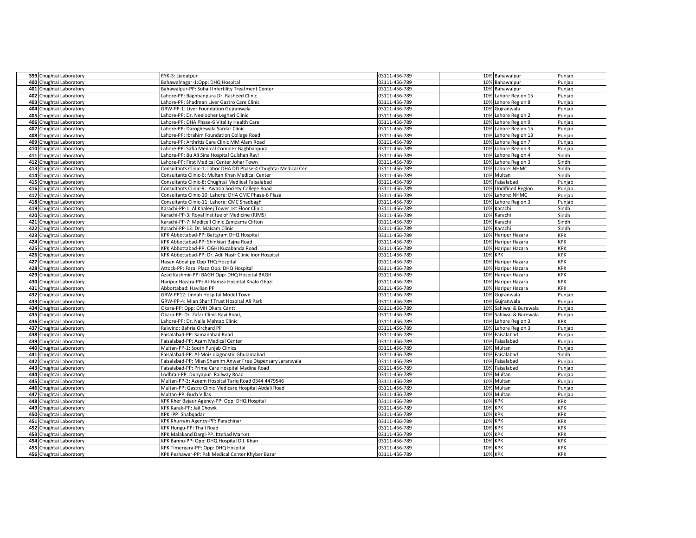|     | 399 Chughtai Laboratory                            | RYK-3: Liagatpur                                                                  | 03111-456-789                  | 10% Bahawalpur                           | Punjab                   |
|-----|----------------------------------------------------|-----------------------------------------------------------------------------------|--------------------------------|------------------------------------------|--------------------------|
|     | 400 Chughtai Laboratory                            | Bahawalnagar-1:Opp: DHQ Hospital                                                  | 03111-456-789                  | 10% Bahawalpur                           | Punjab                   |
|     | 401 Chughtai Laboratory                            | Bahawalpur-PP: Sohail Infertility Treatment Center                                | 03111-456-789                  | 10% Bahawalpur                           | Punjab                   |
|     | 402 Chughtai Laboratory                            | Lahore-PP: Baghbanpura Dr. Rasheed Clinic                                         | 03111-456-789                  | 10% Lahore Region 15                     | Punjab                   |
|     | 403 Chughtai Laboratory                            | Lahore-PP: Shadman Liver Gastro Care Clinic                                       | 03111-456-789                  | 10% Lahore Region 8                      | Punjab                   |
| 404 | Chughtai Laboratory                                | GRW-PP-1: Liver Foundation Gujranwala                                             | 03111-456-789                  | 10% Gujranwala                           | Punjab                   |
|     | 405 Chughtai Laboratory                            | Lahore-PP: Dr. Neelopher Leghari Clinic                                           | 03111-456-789                  | 10% Lahore Region 2                      | Punjab                   |
|     | 406 Chughtai Laboratory                            | Lahore-PP: DHA Phase-6 Vitality Health Care                                       | 03111-456-789                  | 10% Lahore Region 9                      | Punjab                   |
|     | 407 Chughtai Laboratory                            | Lahore-PP: Daroghewala Sardar Clinic                                              | 03111-456-789                  | 10% Lahore Region 15                     | Punjab                   |
|     | 408 Chughtai Laboratory                            | Lahore-PP: Ibrahim Foundation College Road                                        | 03111-456-789                  | 10% Lahore Region 13                     | Punjab                   |
| 409 | Chughtai Laboratory                                | Lahore-PP: Arthritis Care Clinic MM Alam Road                                     | 03111-456-789                  | 10% Lahore Region 7                      | Punjab                   |
|     | 410 Chughtai Laboratory                            | Lahore-PP: Safia Medical Complex Baghbanpura                                      | 03111-456-789                  | 10% Lahore Region 3                      | Punjab                   |
|     | 411 Chughtai Laboratory                            | Lahore-PP: Bu Ali Sina Hospital Gulshan Ravi                                      | 03111-456-789                  | 10% Lahore Region 4                      | Sindh                    |
|     | 412 Chughtai Laboratory                            | Lahore-PP: First Medical Center Johar Town                                        | 03111-456-789                  | 10% Lahore Region 3                      | Sindh                    |
|     | 413 Chughtai Laboratory                            | Consultants Clinic-1: Lahor DHA DD Phase-4 Chughtai Medical Cen                   | 03111-456-789                  | 10% Lahore: NHMC                         | Sindh                    |
|     | 414 Chughtai Laboratory                            | Consultants Clinic-6: Multan Khan Medical Center                                  | 03111-456-789                  | 10% Multan                               | Sindh                    |
|     | 415 Chughtai Laboratory                            | Consultants Clinic-8: Chughtai Mediical Faisalabad                                | 03111-456-789                  | 10% Faisalabad                           | Punjab                   |
|     | 416 Chughtai Laboratory                            | Consultants Clinic-9: Awasia Society College Road                                 | 03111-456-789                  | 10% Undifined Region                     | Punjab                   |
|     | 417 Chughtai Laboratory                            | Consultants Clinic-10: Lahore: DHA CMC Phase-6 Plaza                              | 03111-456-789                  | 10% Lahore: NHMC                         | Punjab                   |
|     | 418 Chughtai Laboratory                            | Consultants Clinic-11: Lahore: CMC Shadbagh                                       | 03111-456-789                  | 10% Lahore Region 3                      | Punjab                   |
|     | 419 Chughtai Laboratory                            | Karachi-PP-1: Al Khaleej Tower 1st Floor Clinic                                   | 03111-456-789                  | 10% Karachi                              | Sindh                    |
|     | 420 Chughtai Laboratory                            | Karachi-PP-3: Royal Institue of Medicine (RIMS)                                   | 03111-456-789                  | 10% Karachi                              | Sindh                    |
|     | 421 Chughtai Laboratory                            | Karachi-PP-7: Medicell Clinic Zamzama Clifton                                     | 03111-456-789                  | 10% Karachi                              | Sindh                    |
|     | 422 Chughtai Laboratory                            | Karachi-PP-13: Dr. Maisam Clinic                                                  | 03111-456-789                  | 10%<br>Karachi                           | Sindh                    |
|     | 423 Chughtai Laboratory                            | KPK Abbottabad-PP: Battgram DHQ Hospital                                          | 03111-456-789                  | 10% Haripur Hazara                       | <b>KPK</b>               |
|     | 424 Chughtai Laboratory                            | KPK Abbottabad-PP: Shinkiari Bajna Road<br>KPK Abbottabad-PP: OGHI Kuzabanda Road | 03111-456-789                  | 10% Haripur Hazara<br>10% Haripur Hazara | <b>KPK</b><br><b>KPK</b> |
|     | 425 Chughtai Laboratory<br>426 Chughtai Laboratory | KPK Abbottabad-PP: Dr. Adil Nasir Clinic Inor Hospital                            | 03111-456-789<br>03111-456-789 | 10% KPK                                  | KPK                      |
|     | 427 Chughtai Laboratory                            | Hasan Abdal pp Opp THQ Hospital                                                   | 03111-456-789                  | 10% Haripur Hazara                       | <b>KPK</b>               |
|     | 428 Chughtai Laboratory                            | Attock-PP: Fazal Plaza Opp: DHQ Hospital                                          | 03111-456-789                  | 10% Haripur Hazara                       | <b>KPK</b>               |
|     | 429 Chughtai Laboratory                            | Azad Kashmir-PP: BAGH Opp: DHQ Hospital BAGH                                      | 03111-456-789                  | 10% Haripur Hazara                       | <b>KPK</b>               |
|     | 430 Chughtai Laboratory                            | Haripur Hazara-PP: Al-Hamza Hospital Khalo Ghazi                                  | 03111-456-789                  | 10% Haripur Hazara                       | <b>KPK</b>               |
|     | 431 Chughtai Laboratory                            | Abbottabad: Havilian PP                                                           | 03111-456-789                  | 10% Haripur Hazara                       | <b>KPK</b>               |
|     | 432 Chughtai Laboratory                            | GRW-PP12: Jinnah Hospital Model Town                                              | 03111-456-789                  | 10% Gujranwala                           | Punjab                   |
|     | 433 Chughtai Laboratory                            | GRW-PP-4: Mian Sharif Trust Hospital Ali Park                                     | 03111-456-789                  | 10% Gujranwala                           | Punjab                   |
|     | 434 Chughtai Laboratory                            | Okara-PP: Opp: CMH Okara Cantt                                                    | 03111-456-789                  | 10% Sahiwal & Burewala                   | Punjab                   |
|     | 435 Chughtai Laboratory                            | Okara-PP: Dr. Zafar Clinic Ravi Road                                              | 03111-456-789                  | 10% Sahiwal & Burewala                   | Punjab                   |
|     | 436 Chughtai Laboratory                            | Lahore-PP: Dr. Naila Mehtab Clinic                                                | 03111-456-789                  | 10% Lahore Region 3                      | <b>KPK</b>               |
|     | 437 Chughtai Laboratory                            | Raiwind: Bahria Orchard PP                                                        | 03111-456-789                  | Lahore Region 3<br>10%                   | Punjab                   |
|     | 438 Chughtai Laboratory                            | Faisalabad-PP: Samanabad Road                                                     | 03111-456-789                  | 10% Faisalabad                           | Punjab                   |
|     | 439 Chughtai Laboratory                            | Faisalabad-PP: Azam Medical Center                                                | 03111-456-789                  | 10% Faisalabad                           | Punjab                   |
|     | 440 Chughtai Laboratory                            | Multan-PP-1: South Punjab Clinics                                                 | 03111-456-789                  | 10% Multan                               | Punjab                   |
|     | 441 Chughtai Laboratory                            | Faisalabad-PP: Al-Moiz diagnostic Ghulamabad                                      | 03111-456-789                  | 10% Faisalabad                           | Sindh                    |
|     | 442 Chughtai Laboratory                            | Faisalabad-PP: Mian Shamim Anwar Free Dispensary Jaranwala                        | 03111-456-789                  | 10% Faisalabad                           | Punjab                   |
|     | 443 Chughtai Laboratory                            | Faisalabad-PP: Prime Care Hospital Madina Road                                    | 03111-456-789                  | 10% Faisalabad                           | Punjab                   |
| 444 | Chughtai Laboratory                                | Lodhran-PP: Dunyapur: Railway Road                                                | 03111-456-789                  | 10% Multan                               | Punjab                   |
|     | 445 Chughtai Laboratory                            | Multan-PP-3: Azeem Hospital Tariq Road 0344 4479546                               | 03111-456-789                  | 10% Multan                               | Punjab                   |
|     | 446 Chughtai Laboratory                            | Multan-PP: Gastro Clinic Medicare Hospital Abdali Road                            | 03111-456-789                  | 10% Multan                               | Punjab                   |
|     | 447 Chughtai Laboratory                            | Multan-PP: Buch Villas                                                            | 03111-456-789                  | 10% Multan                               | Punjab                   |
|     | 448 Chughtai Laboratory                            | KPK Kher Bajaur Agency-PP: Opp: DHQ Hospital<br>KPK Karak-PP: Jail Chowk          | 03111-456-789                  | 10% KPK<br>10% KPK                       | <b>KPK</b><br><b>KPK</b> |
|     | 449 Chughtai Laboratory<br>450 Chughtai Laboratory | KPK-PP: Shabgadar                                                                 | 03111-456-789<br>03111-456-789 | <b>10% KPK</b>                           | <b>KPK</b>               |
|     | 451 Chughtai Laboratory                            | KPK Khurram Agency-PP: Parachinar                                                 | 03111-456-789                  | 10% KPK                                  | <b>KPK</b>               |
|     | 452 Chughtai Laboratory                            | KPK Hungu-PP: Thall Road                                                          | 03111-456-789                  | 10% KPK                                  | <b>KPK</b>               |
|     | 453 Chughtai Laboratory                            | KPK Malakand Dargi-PP: Ittehad Market                                             | 03111-456-789                  | 10% KPK                                  | <b>KPK</b>               |
|     | 454 Chughtai Laboratory                            | KPK Bannu-PP: Opp: DHQ Hospital D.I. Khan                                         | 03111-456-789                  | 10% KPK                                  | <b>KPK</b>               |
|     | 455 Chughtai Laboratory                            | KPK Timergara-PP: Opp: DHQ Hospital                                               | 03111-456-789                  | 10% KPK                                  | KPK                      |
|     | 456 Chughtai Laboratory                            | KPK Peshawar-PP: Pak Medical Center Khyber Bazar                                  | 03111-456-789                  | 10% KPK                                  | <b>KPK</b>               |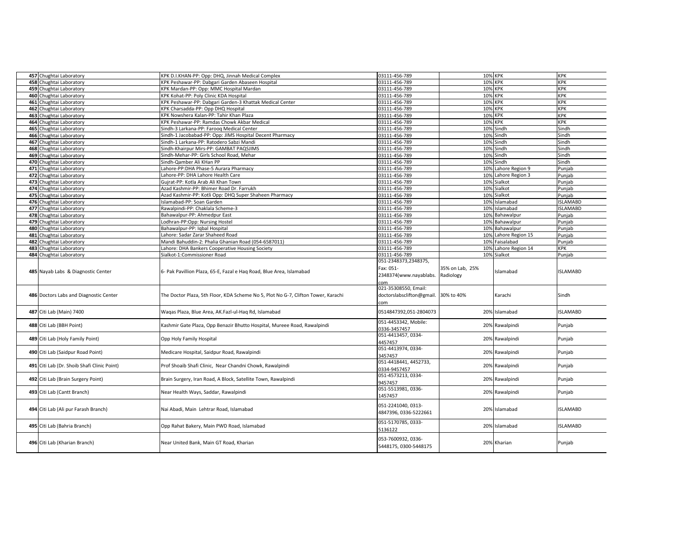| 457 Chughtai Laboratory                     | KPK D.I.KHAN-PP: Opp: DHQ, Jinnah Medical Complex                                 | 03111-456-789                                                       | 10% KPK                      |                     | <b>KPK</b>      |
|---------------------------------------------|-----------------------------------------------------------------------------------|---------------------------------------------------------------------|------------------------------|---------------------|-----------------|
| 458 Chughtai Laboratory                     | KPK Peshawar-PP: Dabgari Garden Abaseen Hospital                                  | 03111-456-789                                                       | 10% KPK                      |                     | <b>KPK</b>      |
| 459 Chughtai Laboratory                     | KPK Mardan-PP: Opp: MMC Hospital Mardan                                           | 03111-456-789                                                       | 10% KPK                      |                     | <b>KPK</b>      |
| 460 Chughtai Laboratory                     | KPK Kohat-PP: Poly Clinic KDA Hospital                                            | 03111-456-789                                                       | 10%                          | <b>KPK</b>          | KPK             |
| 461 Chughtai Laboratory                     | KPK Peshawar-PP: Dabgari Garden-3 Khattak Medical Center                          | 03111-456-789                                                       | 10%                          | <b>KPK</b>          | <b>KPK</b>      |
| 462 Chughtai Laboratory                     | KPK Charsadda-PP: Opp DHQ Hospital                                                | 03111-456-789                                                       | 10%                          | <b>KPK</b>          | <b>KPK</b>      |
| 463 Chughtai Laboratory                     | KPK Nowshera Kalan-PP: Tahir Khan Plaza                                           | 03111-456-789                                                       | 10%                          | <b>KPK</b>          | KPK             |
| 464 Chughtai Laboratory                     | KPK Peshawar-PP: Ramdas Chowk Akbar Medical                                       | 03111-456-789                                                       | 10%                          | <b>KPK</b>          | KPK             |
| 465 Chughtai Laboratory                     | Sindh-3 Larkana-PP: Faroog Medical Center                                         | 03111-456-789                                                       |                              | 10% Sindh           | Sindh           |
| 466 Chughtai Laboratory                     | indh-1 Jacobabad-PP: Opp: JIMS Hospital Decent Pharmacy                           | 03111-456-789                                                       | 10%                          | Sindh               | Sindh           |
| 467 Chughtai Laboratory                     | indh-1 Larkana-PP: Ratodero Sabzi Mandi                                           | 03111-456-789                                                       | 10%                          | Sindh               | Sindh           |
| 468 Chughtai Laboratory                     | Sindh-Khairpur Mirs-PP: GAMBAT PAQSJIMS                                           | 03111-456-789                                                       |                              | 10% Sindh           | Sindh           |
| 469 Chughtai Laboratory                     | Sindh-Mehar-PP: Girls School Road, Mehar                                          | 03111-456-789                                                       | 10%                          | Sindh               | Sindh           |
| 470 Chughtai Laboratory                     | Sindh-Qamber Ali KHan PP                                                          | 03111-456-789                                                       | 10%                          | Sindh               | Sindh           |
| 471 Chughtai Laboratory                     | ahore-PP:DHA Phase-5 Aurara Pharmacy                                              | 03111-456-789                                                       | 10%                          | Lahore Region 9     | Punjab          |
| 472 Chughtai Laboratory                     | ahore-PP: DHA Lahore Health Care                                                  | 03111-456-789                                                       |                              | 10% Lahore Region 3 | Punjab          |
| 473 Chughtai Laboratory                     | Gujrat-PP: Kotla Arab Ali Khan Town                                               | 03111-456-789                                                       |                              | 10% Sialkot         | Punjab          |
| 474 Chughtai Laboratory                     | Azad Kashmir-PP: Bhimer Road Dr. Farrukh                                          | 03111-456-789                                                       |                              | 10% Sialkot         | Punjab          |
| 475 Chughtai Laboratory                     | Azad Kashmir-PP: Kotli Opp: DHQ Super Shaheen Pharmacy                            | 03111-456-789                                                       | 10%                          | Sialkot             | Punjab          |
| 476 Chughtai Laboratory                     | slamabad-PP: Soan Garden                                                          | 03111-456-789                                                       | 10%                          | Islamabad           | <b>ISLAMABD</b> |
| 477 Chughtai Laboratory                     | Rawalpindi-PP: Chaklala Scheme-3                                                  | 03111-456-789                                                       | 10%                          | Islamabad           | <b>ISLAMABD</b> |
| 478 Chughtai Laboratory                     | Bahawalpur-PP: Ahmedpur East                                                      | 03111-456-789                                                       | 10%                          | Bahawalpur          | Punjab          |
| 479 Chughtai Laboratory                     | .odhran-PP:Opp: Nursing Hostel                                                    | 03111-456-789                                                       | 10%                          | Bahawalpur          | Punjab          |
| 480 Chughtai Laboratory                     | Bahawalpur-PP: Iqbal Hospital                                                     | 03111-456-789                                                       | 10%                          | Bahawalpur          | Punjab          |
| 481 Chughtai Laboratory                     | ahore: Sadar Zarar Shaheed Road                                                   | 03111-456-789                                                       | 10%                          | Lahore Region 15    | Punjab          |
| 482 Chughtai Laboratory                     | Mandi Bahuddin-2: Phalia Ghanian Road (054-6587011)                               | 03111-456-789                                                       | 10%                          | Faisalabad          | Punjab          |
| 483 Chughtai Laboratory                     | Lahore: DHA Bankers Cooperative Housing Society                                   | 03111-456-789                                                       | 10%                          | Lahore Region 14    | KPK             |
| 484 Chughtai Laboratory                     | Sialkot-1:Commissioner Road                                                       | 03111-456-789<br>051-2348373,2348375,                               |                              | 10% Sialkot         | Punjab          |
|                                             |                                                                                   |                                                                     |                              |                     |                 |
| 485 Nayab Labs & Diagnostic Center          | 6- Pak Pavillion Plaza, 65-E, Fazal e Hag Road, Blue Area, Islamabad              | Fax: 051-<br>2348374(www.nayablabs.<br>com                          | 35% on Lab, 25%<br>Radiology | Islamabad           | <b>ISLAMABD</b> |
| 486 Doctors Labs and Diagnostic Center      | The Doctor Plaza, 5th Floor, KDA Scheme No 5, Plot No G-7, Clifton Tower, Karachi | 021-35308550. Email:<br>doctorslabsclifton@gmail. 30% to 40%<br>com |                              | Karachi             | Sindh           |
| 487 Citi Lab (Main) 7400                    | Waqas Plaza, Blue Area, AK.Fazl-ul-Haq Rd, Islamabad                              | 0514847392,051-2804073                                              |                              | 20% Islamabad       | <b>ISLAMABD</b> |
| 488 Citi Lab (BBH Point)                    | Kashmir Gate Plaza, Opp Benazir Bhutto Hospital, Mureee Road, Rawalpindi          | 051-4453342, Mobile:<br>0336-3457457                                | 20%                          | Rawalpindi          | Punjab          |
| 489 Citi Lab (Holy Family Point)            | Opp Holy Family Hospital                                                          | 051-4413457, 0334-<br>4457457                                       | 20%                          | Rawalpindi          | Punjab          |
| 490 Citi Lab (Saidpur Road Point)           | Medicare Hospital, Saidpur Road, Rawalpindi                                       | 051-4413974, 0334-<br>3457457                                       |                              | 20% Rawalpindi      | Punjab          |
| 491 Citi Lab (Dr. Shoib Shafi Clinic Point) | Prof Shoaib Shafi Clinic, Near Chandni Chowk, Rawalpindi                          | 051-4418441, 4452733,                                               | 20%                          | Rawalpindi          | Punjab          |
| 492 Citi Lab (Brain Surgery Point)          | Brain Surgery, Iran Road, A Block, Satellite Town, Rawalpindi                     | 0334-9457457<br>051-4573213, 0334-                                  | 20%                          | Rawalpindi          | Punjab          |
| 493 Citi Lab (Cantt Branch)                 | Near Health Ways, Saddar, Rawalpindi                                              | 9457457<br>051-5513981, 0336-                                       | 20%                          | Rawalpindi          | Punjab          |
| 494 Citi Lab (Ali pur Farash Branch)        | Nai Abadi, Main Lehtrar Road, Islamabad                                           | 1457457<br>051-2241040, 0313-<br>4847396, 0336-5222661              |                              | 20% Islamabad       | <b>ISLAMABD</b> |
| 495 Citi Lab (Bahria Branch)                | Opp Rahat Bakery, Main PWD Road, Islamabad                                        | 051-5170785, 0333-<br>5136122                                       | 20%                          | Islamabad           | <b>ISLAMABD</b> |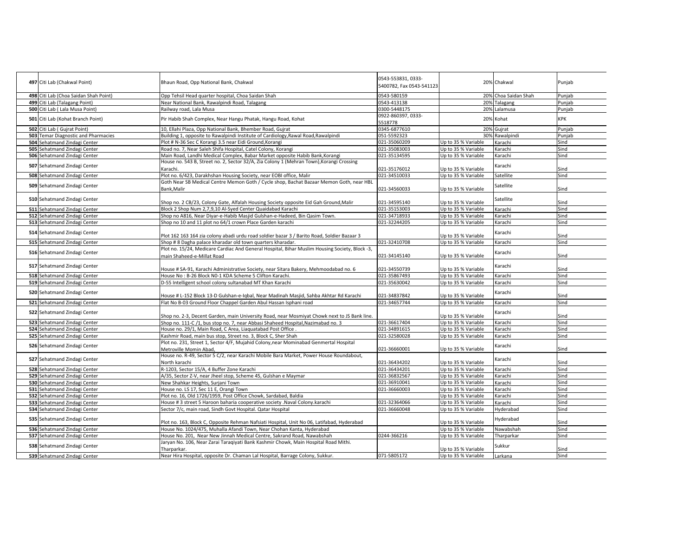|                                       |                                                                                                                                                             | 0543-553831, 0333-           |                     |                              |              |
|---------------------------------------|-------------------------------------------------------------------------------------------------------------------------------------------------------------|------------------------------|---------------------|------------------------------|--------------|
| 497 Citi Lab (Chakwal Point)          | Bhaun Road, Opp National Bank, Chakwal                                                                                                                      | 5400782, Fax 0543-541123     |                     | 20% Chakwal                  | Punjab       |
|                                       |                                                                                                                                                             |                              |                     |                              |              |
| 498 Citi Lab (Choa Saidan Shah Point) | Opp Tehsil Head quarter hospital, Choa Saidan Shah                                                                                                          | 0543-580159                  |                     | 20% Choa Saidan Shah         | Punjab       |
| 499 Citi Lab (Talagang Point)         | Near National Bank, Rawalpindi Road, Talagang                                                                                                               | 0543-413138<br>0300-5448175  |                     | 20% Talagang<br>20% Lalamusa | Punjab       |
| 500 Citi Lab ( Lala Musa Point)       | Railway road, Lala Musa                                                                                                                                     | 0922-860397, 0333-           |                     |                              | Punjab       |
| 501 Citi Lab (Kohat Branch Point)     | Pir Habib Shah Complex, Near Hangu Phatak, Hangu Road, Kohat                                                                                                | 5518778                      |                     | 20% Kohat                    | <b>KPK</b>   |
| 502 Citi Lab (Guirat Point)           | 10, Ellahi Plaza, Opp National Bank, Bhember Road, Gujrat                                                                                                   | 0345-6877610                 |                     | 20% Gujrat                   | Punjab       |
| 503 Temar Diagnostic and Pharmacies   | Building 1, opposite to Rawalpindi Institute of Cardiology, Rawal Road, Rawalpindi                                                                          | 051-5592323                  |                     | 30% Rawalpindi               | Punjab       |
| 504 Sehatmand Zindagi Center          | Plot # N-36 Sec C Korangi 3.5 near Eidi Ground, Korangi                                                                                                     | 021-35060209                 | Up to 35 % Variable | Karachi                      | Sind         |
| 505 Sehatmand Zindagi Center          | Road no. 7, Near Saleh Shifa Hospital, Catel Colony, Korangi                                                                                                | 021-35083003                 | Up to 35 % Variable | Karachi                      | Sind         |
| 506 Sehatmand Zindagi Center          | Main Road, Landhi Medical Complex, Babar Market opposite Habib Bank, Korangi                                                                                | 021-35134595                 | Up to 35 % Variable | Karachi                      | Sind         |
|                                       | House no. 543 B, Street no. 2, Sector 32/A, Zia Colony 1 (Mehran Town), Korangi Crossing                                                                    |                              |                     |                              |              |
| 507 Sehatmand Zindagi Center          | Karachi.                                                                                                                                                    | 021-35176012                 | Up to 35 % Variable | Karachi                      | Sind         |
| 508 Sehatmand Zindagi Center          | Plot no. 6/423, Darakhshan Housing Society, near EOBI office, Malir                                                                                         | 021-34510033                 | Up to 35 % Variable | Satellite                    | Sind         |
|                                       | Goth Near SB Medical Centre Memon Goth / Cycle shop, Bachat Bazaar Memon Goth, near HBL                                                                     |                              |                     |                              |              |
| 509 Sehatmand Zindagi Center          | Bank, Malir                                                                                                                                                 | 021-34560033                 | Up to 35 % Variable | Satellite                    | Sind         |
|                                       |                                                                                                                                                             |                              |                     |                              |              |
| 510 Sehatmand Zindagi Center          | Shop no. 2 CB/23, Colony Gate, Alfalah Housing Society opposite Eid Gah Ground, Malir                                                                       | 021-34595140                 | Up to 35 % Variable | Satellite                    | Sind         |
| 511 Sehatmand Zindagi Center          | Block 2 Shop Num 2,7,9,10 Al-Syed Center Quaidabad Karachi                                                                                                  | 021-35153003                 | Up to 35 % Variable | Karachi                      | Sind         |
| 512 Sehatmand Zindagi Center          | Shop no A816, Near Diyar-e-Habib Masjid Gulshan-e-Hadeed, Bin Qasim Town.                                                                                   | 021-34718933                 | Up to 35 % Variable | Karachi                      | Sind         |
| 513 Sehatmand Zindagi Center          | Shop no 10 and 11 plot no 64/1 crown Place Garden karachi                                                                                                   | 021-32244205                 | Up to 35 % Variable | Karachi                      | Sind         |
| 514 Sehatmand Zindagi Center          |                                                                                                                                                             |                              |                     | Karachi                      |              |
|                                       | Plot 162 163 164 zia colony abadi urdu road soldier bazar 3 / Barito Road, Soldier Bazaar 3                                                                 |                              | Up to 35 % Variable |                              | Sind         |
| 515 Sehatmand Zindagi Center          | Shop #8 Dagha palace kharadar old town quarters kharadar.                                                                                                   | 021-32410708                 | Up to 35 % Variable | Karachi                      | Sind         |
| 516 Sehatmand Zindagi Center          | Plot no. 15/24, Medicare Cardiac And General Hospital, Bihar Muslim Housing Society, Block -3,                                                              |                              |                     | Karachi                      |              |
|                                       | main Shaheed-e-Millat Road                                                                                                                                  | 021-34145140                 | Up to 35 % Variable |                              | Sind         |
| 517 Sehatmand Zindagi Center          |                                                                                                                                                             |                              |                     | Karachi                      |              |
|                                       | House # SA-91, Karachi Administrative Society, near Sitara Bakery, Mehmoodabad no. 6                                                                        | 021-34550739                 | Up to 35 % Variable |                              | Sind         |
| 518 Sehatmand Zindagi Center          | House No: B-26 Block N0-1 KDA Scheme 5 Clifton Karachi.                                                                                                     | 021-35867493                 | Up to 35 % Variable | Karachi                      | Sind         |
| 519 Sehatmand Zindagi Center          | D-55 Intelligent school colony sultanabad MT Khan Karachi                                                                                                   | 021-35630042                 | Up to 35 % Variable | Karachi                      | Sind         |
| 520 Sehatmand Zindagi Center          |                                                                                                                                                             |                              |                     | Karachi                      |              |
|                                       | House # L-152 Block 13-D Gulshan-e-Iqbal, Near Madinah Masjid, Sahba Akhtar Rd Karachi<br>Flat No B-03 Ground Floor Chappel Garden Abul Hassan Isphani road | 021-34837842<br>021-34657744 | Up to 35 % Variable | Karachi                      | Sind<br>Sind |
| 521 Sehatmand Zindagi Center          |                                                                                                                                                             |                              | Up to 35 % Variable |                              |              |
| 522 Sehatmand Zindagi Center          | Shop no. 2-3, Decent Garden, main University Road, near Mosmiyat Chowk next to JS Bank line.                                                                |                              | Up to 35 % Variable | Karachi                      | Sind         |
| 523 Sehatmand Zindagi Center          | Shop no. 111-C /1, bus stop no. 7, near Abbasi Shaheed Hospital, Nazimabad no. 3                                                                            | 021-36617404                 | Up to 35 % Variable | Karachi                      | Sind         |
| 524 Sehatmand Zindagi Center          | House no. 29/1, Main Road, C Area, Liaguatabad Post Office.                                                                                                 | 021-34891615                 | Up to 35 % Variable | Karachi                      | Sind         |
| 525 Sehatmand Zindagi Center          | Kashmir Road, main bus stop, Street no. 3, Block C, Sher Shah                                                                                               | 021-32580028                 | Up to 35 % Variable | Karachi                      | Sind         |
|                                       | Plot no. 231, Street 1, Sector 4/F, Mujahid Colony, near Mominabad Genmertal Hospital                                                                       |                              |                     |                              |              |
| 526 Sehatmand Zindagi Center          | Metroville Momin Abad,                                                                                                                                      | 021-36660001                 | Up to 35 % Variable | Karachi                      | Sind         |
|                                       | House no. R-49, Sector 5 C/2, near Karachi Mobile Bara Market, Power House Roundabout,                                                                      |                              |                     |                              |              |
| 527 Sehatmand Zindagi Center          | North karachi                                                                                                                                               | 021-36434202                 | Up to 35 % Variable | Karachi                      | Sind         |
| 528 Sehatmand Zindagi Center          | R-1203, Sector 15/A, 4 Buffer Zone Karachi                                                                                                                  | 021-36434201                 | Up to 35 % Variable | Karachi                      | Sind         |
| 529 Sehatmand Zindagi Center          | A/35, Sector Z-V, near Jheel stop, Scheme 45, Gulshan e Maymar                                                                                              | 021-36832567                 | Up to 35 % Variable | Karachi                      | Sind         |
| 530 Sehatmand Zindagi Center          | New Shahkar Heights, Surjani Town                                                                                                                           | 021-36910041                 | Up to 35 % Variable | Karachi                      | Sind         |
| 531 Sehatmand Zindagi Center          | House no. LS 17, Sec 11 E, Orangi Town                                                                                                                      | 021-36660003                 | Up to 35 % Variable | Karachi                      | Sind         |
| 532 Sehatmand Zindagi Center          | Plot no. 16, Old 1726/1959, Post Office Chowk, Sardabad, Baldia                                                                                             |                              | Up to 35 % Variable | Karachi                      | Sind         |
| 533 Sehatmand Zindagi Center          | House #3 street 5 Haroon baharia cooperative society .Naval Colony.karachi                                                                                  | 021-32364066                 | Up to 35 % Variable | Karachi                      | Sind         |
| 534 Sehatmand Zindagi Center          | Sector 7/c, main road, Sindh Govt Hospital. Qatar Hospital                                                                                                  | 021-36660048                 | Up to 35 % Variable | Hyderabad                    | Sind         |
| 535 Sehatmand Zindagi Center          |                                                                                                                                                             |                              |                     | Hyderabad                    |              |
|                                       | Plot no. 163, Block C, Opposite Rehman Nafsiati Hospital, Unit No 06, Latifabad, Hyderabad                                                                  |                              | Up to 35 % Variable |                              | Sind         |
| 536 Sehatmand Zindagi Center          | House No. 1024/475, Muhalla Afandi Town, Near Chohan Kanta, Hyderabad                                                                                       |                              | Up to 35 % Variable | Nawabshah                    | Sind         |
| 537 Sehatmand Zindagi Center          | House No. 201, Near New Jinnah Medical Centre, Sakrand Road, Nawabshah                                                                                      | 0244-366216                  | Up to 35 % Variable | Tharparkar                   | Sind         |
| 538 Sehatmand Zindagi Center          | Jaryan No. 106, Near Zarai Taraqiyati Bank Kashmir Chowk, Main Hospital Road Mithi.                                                                         |                              |                     | Sukkur                       |              |
|                                       | Tharparkar.                                                                                                                                                 |                              | Up to 35 % Variable |                              | Sind         |
| 539 Sehatmand Zindagi Center          | Near Hira Hospital, opposite Dr. Chaman Lal Hospital, Barrage Colony, Sukkur.                                                                               | 071-5805172                  | Up to 35 % Variable | Larkana                      | Sind         |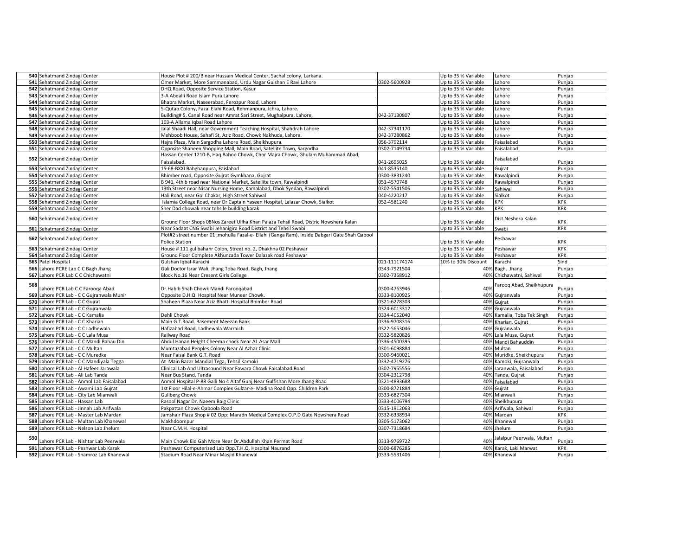| 540 Sehatmand Zindagi Center                                                    | House Plot # 200/B near Hussain Medical Center, Sachal colony, Larkana.                                            |                              | Up to 35 % Variable        | Lahore                                             | Punjab           |
|---------------------------------------------------------------------------------|--------------------------------------------------------------------------------------------------------------------|------------------------------|----------------------------|----------------------------------------------------|------------------|
| 541 Sehatmand Zindagi Center                                                    | Omer Market, More Sammanabad, Urdu Nagar Gulshan E Ravi Lahore                                                     | 0302-5600928                 | Up to 35 % Variable        | Lahore                                             | Punjab           |
| 542 Sehatmand Zindagi Center                                                    | DHQ Road, Opposite Service Station, Kasur                                                                          |                              | Up to 35 % Variable        | Lahore                                             | Punjab           |
| 543 Sehatmand Zindagi Center                                                    | 3-A Abdalli Road Islam Pura Lahore                                                                                 |                              | Up to 35 % Variable        | Lahore                                             | Punjab           |
| 544 Sehatmand Zindagi Center                                                    | Bhabra Market, Naseerabad, Ferozpur Road, Lahore                                                                   |                              | Up to 35 % Variable        | Lahore                                             | Punjab           |
| 545 Sehatmand Zindagi Center                                                    | 5-Qutab Colony, Fazal Elahi Road, Rehmanpura, Ichra, Lahore.                                                       |                              | Up to 35 % Variable        | Lahore                                             | Punjab           |
| 546 Sehatmand Zindagi Center                                                    | Building# 5, Canal Road near Amrat Sari Street, Mughalpura, Lahore,                                                | 042-37130807                 | Up to 35 % Variable        | Lahore                                             | Punjab           |
| 547 Sehatmand Zindagi Center                                                    | 103-A Allama Iqbal Road Lahore                                                                                     |                              | Up to 35 % Variable        | Lahore                                             | Punjab           |
| 548 Sehatmand Zindagi Center                                                    | Jalal Shaadi Hall, near Government Teaching Hospital, Shahdrah Lahore                                              | 042-37341170                 | Up to 35 % Variable        | Lahore                                             | Punjab           |
| 549 Sehatmand Zindagi Center                                                    | Mehboob House, Sahafi St, Aziz Road, Chowk Nakhuda, Lahore.                                                        | 042-37280862                 | Up to 35 % Variable        | Lahore                                             | Punjab           |
| 550 Sehatmand Zindagi Center                                                    | Hajra Plaza, Main Sargodha Lahore Road, Sheikhupura.                                                               | 056-3792114                  | Up to 35 % Variable        | Faisalabad                                         | Punjab           |
| 551 Sehatmand Zindagi Center                                                    | Opposite Shaheen Shopping Mall, Main Road, Satellite Town, Sargodha                                                | 0302-7149734                 | Up to 35 % Variable        | Faisalabad                                         | Punjab           |
|                                                                                 | Hassan Center 1210-B, Haq Bahoo Chowk, Chor Majra Chowk, Ghulam Muhammad Abad,                                     |                              |                            |                                                    |                  |
| 552 Sehatmand Zindagi Center                                                    | Faisalabad.                                                                                                        | 041-2695025                  | Up to 35 % Variable        | Faisalabad                                         | Punjab           |
| 553 Sehatmand Zindagi Center                                                    | 1S-68-BXXI Bahgbanpura, Faislabad                                                                                  | 041-8535140                  | Up to 35 % Variable        | Gujrat                                             | Punjab           |
| 554 Sehatmand Zindagi Center                                                    | Bhimber road, Opposite Gujrat Gymkhana, Gujrat                                                                     | 0300-3831240                 | Up to 35 % Variable        | Rawalpindi                                         | Punjab           |
| 555 Sehatmand Zindagi Center                                                    | B 941, 4th b road near National Market, Satellite town, Rawalpindi                                                 | 051-4570748                  | Up to 35 % Variable        | Rawalpindi                                         | Punjab           |
| 556 Sehatmand Zindagi Center                                                    | 13th Street near Nisar Nursing Home, Kamalabad, Dhok Syedan, Rawalpindi                                            | 0302-5541506                 | Up to 35 % Variable        | Sahiwal                                            | Punjab           |
| 557 Sehatmand Zindagi Center                                                    | Hali Road, near Gol Chakar, High Street Sahiwal                                                                    | 040-4220217                  | Up to 35 % Variable        | Sialkot                                            | Punjab           |
| 558 Sehatmand Zindagi Center                                                    | Islamia College Road, near Dr Captain Yaseen Hospital, Lalazar Chowk, Sialkot                                      | 052-4581240                  | Up to 35 % Variable        | KPK                                                | <b>KPK</b>       |
| 559 Sehatmand Zindagi Center                                                    | Sher Dad chowak near tehsile building karak                                                                        |                              | Up to 35 % Variable        | <b>KPK</b>                                         | <b>KPK</b>       |
|                                                                                 |                                                                                                                    |                              |                            |                                                    |                  |
| 560 Sehatmand Zindagi Center                                                    | Ground Floor Shops 08Nos Zareef Ullha Khan Palaza Tehsil Road, Distric Nowshera Kalan                              |                              | Up to 35 % Variable        | Dist.Neshera Kalan                                 | KPK              |
| 561 Sehatmand Zindagi Center                                                    | Near Sadaat CNG Swabi Jehanigira Road District and Tehsil Swabi                                                    |                              | Up to 35 % Variable        | Swabi                                              | KPK              |
|                                                                                 | Plot#2 street number 01 , mohulla Fazal-e- Ellahi (Ganga Ram), inside Dabgari Gate Shah Qabool                     |                              |                            |                                                    |                  |
| 562 Sehatmand Zindagi Center                                                    | <b>Police Station</b>                                                                                              |                              | Up to 35 % Variable        | Peshawar                                           | KPK              |
| 563 Sehatmand Zindagi Center                                                    | House # 111 gul bahahr Colon, Street no. 2, Dhakhna 02 Peshawar                                                    |                              | Up to 35 % Variable        | Peshawar                                           | <b>KPK</b>       |
| 564 Sehatmand Zindagi Center                                                    | Ground Floor Complete Akhunzada Tower Dalazak road Peshawar                                                        |                              | Up to 35 % Variable        | Peshawar                                           | <b>KPK</b>       |
|                                                                                 |                                                                                                                    |                              |                            |                                                    |                  |
|                                                                                 | Gulshan Igbal-Karachi                                                                                              | 021-111174174                |                            |                                                    | Sind             |
| 565 Patel Hospital                                                              |                                                                                                                    | 0343-7921504                 | 10% to 30% Discount<br>40% | Karachi                                            |                  |
| 566 Lahore PCRE Lab C C Bagh Jhang<br>567 Lahore PCR Lab C C Chichawatni        | Gali Doctor Israr Wali, Jhang Toba Road, Bagh, Jhang                                                               | 0302-7358912                 |                            | Bagh, Jhang<br>40% Chichawatni, Sahiwal            | Punjab           |
|                                                                                 | Block No.16 Near Cresent Girls College                                                                             |                              |                            |                                                    | Punjab           |
| 568                                                                             |                                                                                                                    |                              | 40%                        | Farooq Abad, Sheikhupura                           |                  |
| Lahore PCR Lab C C Farooga Abad<br>569 Lahore PCR Lab - C C Gujranwala Munir    | Dr.Habib Shah Chowk Mandi Farooqabad<br>Opposite D.H.Q. Hospital Near Muneer Chowk.                                | 0300-4763946<br>0333-8100925 | 40%                        |                                                    | Punjab           |
| 570 Lahore PCR Lab - C C Guirat                                                 | Shaheen Plaza Near Aziz Bhatti Hospital Bhimber Road                                                               | 0321-6278303                 |                            | Gujranwala<br>40% Guirat                           | Punjab<br>Punjab |
| 571 Lahore PCR Lab - C C Gujranwala                                             |                                                                                                                    | 0324-6013312                 |                            | 40% Gujranwala                                     | Punjab           |
| 572 Lahore PCR Lab - C C Kamalia                                                | Dehli Chowk                                                                                                        | 0334-4052040                 |                            |                                                    |                  |
| 573 Lahore PCR Lab - C C Kharian                                                | Main G.T.Road. Basement Meezan Bank                                                                                | 0336-9708316                 |                            | 40% Kamalia, Toba Tek Singh<br>40% Kharian, Guirat | Punjab<br>Punjab |
| 574 Lahore PCR Lab - C C Ladhewala                                              | Hafizabad Road, Ladhewala Warraich                                                                                 | 0322-5653046                 |                            | 40% Gujranwala                                     | Punjab           |
| 575 Lahore PCR Lab - C C Lala Musa                                              | Railway Road                                                                                                       | 0332-5820826                 |                            | 40% Lala Musa, Guirat                              |                  |
|                                                                                 | Abdul Hanan Height Cheema chock Near AL Asar Mall                                                                  | 0336-4500395                 | 40%                        | Mandi Bahauddin                                    | Punjab<br>Punjab |
| 576 Lahore PCR Lab - C C Mandi Bahau Din<br>577 Lahore PCR Lab - C C Multan     | Mumtazabad Peoples Colony Near Al Azhar Clinic                                                                     | 0301-6098884                 |                            | 40% Multan                                         | Punjab           |
| 578 Lahore PCR Lab - C C Muredke                                                | Near Faisal Bank G.T. Road                                                                                         | 0300-9460021                 |                            | 40% Muridke, Sheikhupura                           | Punjab           |
| 579 Lahore PCR Lab - C C Mandiyala Tegga                                        | At Main Bazar Mandial Tega, Tehsil Kamoki                                                                          | 0332-4719276                 |                            | 40% Kamoki, Gujranwala                             |                  |
| 580 Lahore PCR Lab - Al Hafeez Jarawala                                         | Clinical Lab And Ultrasound Near Fawara Chowk Faisalabad Road                                                      | 0302-7955556                 |                            | 40% Jaranwala, Faisalabad                          | Punjab<br>Punjab |
| 581 Lahore PCR Lab - Ali Lab Tanda                                              | Near Bus Stand, Tanda                                                                                              | 0304-2312798                 | 40%                        | Tanda, Gujrat                                      | Punjab           |
| 582 Lahore PCR Lab - Anmol Lab Faisalabad                                       | Anmol Hospital P-88 Galli No 4 Altaf Gunj Near Gulfishan More Jhang Road                                           | 0321-4893688                 | 40%                        | Faisalabad                                         | Punjab           |
| 583 Lahore PCR Lab - Awami Lab Gujrat                                           | 1st Floor Hilal-e-Ahmar Complex Gulzar-e- Madina Road Opp. Children Park                                           | 0300-8721884                 | 40%                        | Gujrat                                             | Punjab           |
| 584 Lahore PCR Lab - City Lab Mianwali                                          | <b>Gullberg Chowk</b>                                                                                              | 0333-6827304                 |                            | 40% Mianwali                                       | Punjab           |
| 585 Lahore PCR Lab - Hassan Lab                                                 | Rasool Nagar Dr. Naeem Baig Clinic                                                                                 | 0333-4006794                 | 40%                        | Sheikhupura                                        | Punjab           |
| 586 Lahore PCR Lab - Jinnah Lab Arifwala                                        | Pakpattan Chowk Qaboola Road                                                                                       | 0315-1912063                 |                            | 40% Arifwala, Sahiwal                              | Punjab           |
| 587 Lahore PCR Lab - Master Lab Mardan                                          | Jamshair Plaza Shop # 02 Opp: Maradn Medical Complex O.P.D Gate Nowshera Road                                      | 0332-6338934                 |                            | 40% Mardan                                         | <b>KPK</b>       |
| 588 Lahore PCR Lab - Multan Lab Khanewal                                        | Makhdoompur                                                                                                        | 0305-5173062                 | 40%                        | Khanewal                                           | Punjab           |
| 589 Lahore PCR Lab - Nelson Lab Jhelum                                          | Near C.M.H. Hospital                                                                                               | 0307-7318684                 |                            | 40% Jhelum                                         | Punjab           |
| 590                                                                             |                                                                                                                    |                              | 40%                        | Jalalpur Peerwala, Multan                          |                  |
| Lahore PCR Lab - Nishtar Lab Peerwala<br>591 Lahore PCR Lab - Peshwar Lab Karak | Main Chowk Eid Gah More Near Dr.Abdullah Khan Permat Road<br>Peshawar Computerized Lab Opp.T.H.Q. Hospital Naurand | 0313-9769722<br>0300-6876285 |                            | 40% Karak, Laki Marwat                             | Punjab<br>KPK    |